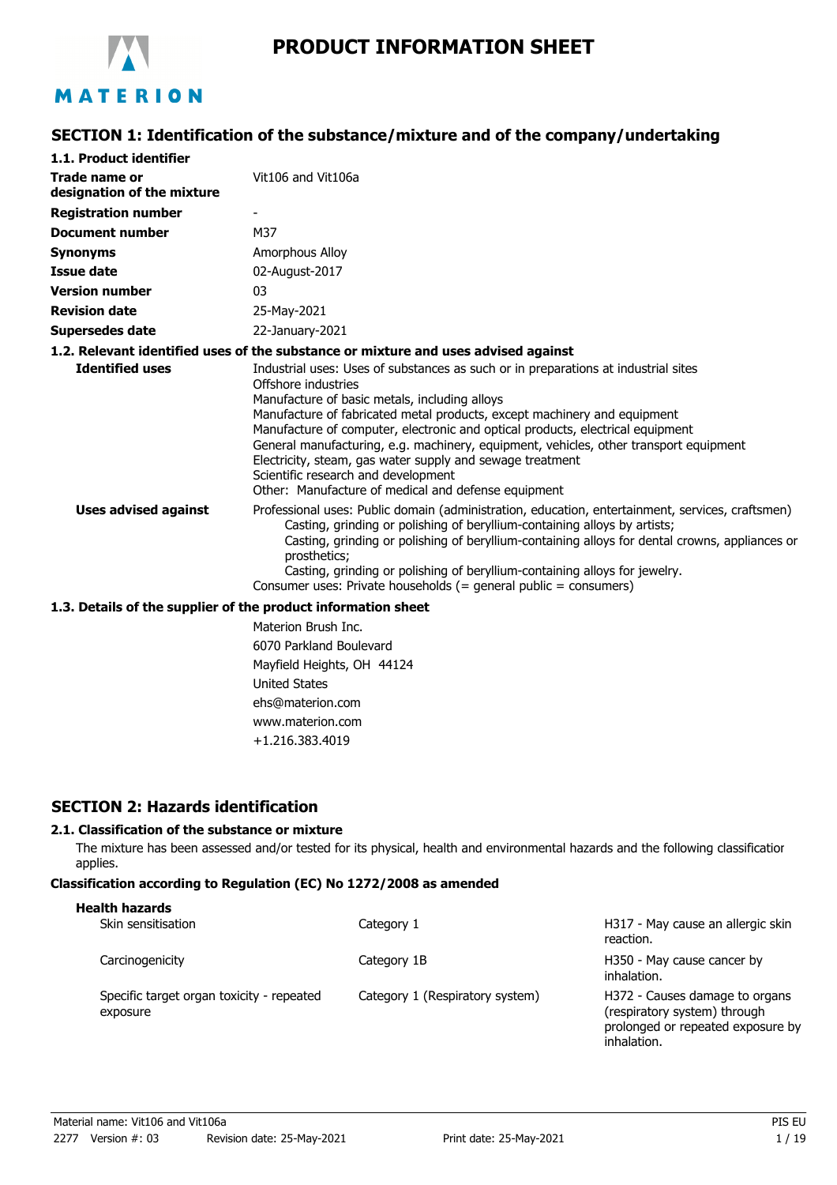

# MATERION

# **SECTION 1: Identification of the substance/mixture and of the company/undertaking**

| 1.1. Product identifier                                       |                                                                                                                                                                                                                                                                                                                                                                                                                                                                                                                                                                              |
|---------------------------------------------------------------|------------------------------------------------------------------------------------------------------------------------------------------------------------------------------------------------------------------------------------------------------------------------------------------------------------------------------------------------------------------------------------------------------------------------------------------------------------------------------------------------------------------------------------------------------------------------------|
| Trade name or<br>designation of the mixture                   | Vit106 and Vit106a                                                                                                                                                                                                                                                                                                                                                                                                                                                                                                                                                           |
| <b>Registration number</b>                                    |                                                                                                                                                                                                                                                                                                                                                                                                                                                                                                                                                                              |
| <b>Document number</b>                                        | M37                                                                                                                                                                                                                                                                                                                                                                                                                                                                                                                                                                          |
| <b>Synonyms</b>                                               | Amorphous Alloy                                                                                                                                                                                                                                                                                                                                                                                                                                                                                                                                                              |
| <b>Issue date</b>                                             | 02-August-2017                                                                                                                                                                                                                                                                                                                                                                                                                                                                                                                                                               |
| <b>Version number</b>                                         | 03                                                                                                                                                                                                                                                                                                                                                                                                                                                                                                                                                                           |
| <b>Revision date</b>                                          | 25-May-2021                                                                                                                                                                                                                                                                                                                                                                                                                                                                                                                                                                  |
| Supersedes date                                               | 22-January-2021                                                                                                                                                                                                                                                                                                                                                                                                                                                                                                                                                              |
|                                                               | 1.2. Relevant identified uses of the substance or mixture and uses advised against                                                                                                                                                                                                                                                                                                                                                                                                                                                                                           |
| <b>Identified uses</b>                                        | Industrial uses: Uses of substances as such or in preparations at industrial sites<br>Offshore industries<br>Manufacture of basic metals, including alloys<br>Manufacture of fabricated metal products, except machinery and equipment<br>Manufacture of computer, electronic and optical products, electrical equipment<br>General manufacturing, e.g. machinery, equipment, vehicles, other transport equipment<br>Electricity, steam, gas water supply and sewage treatment<br>Scientific research and development<br>Other: Manufacture of medical and defense equipment |
| <b>Uses advised against</b>                                   | Professional uses: Public domain (administration, education, entertainment, services, craftsmen)<br>Casting, grinding or polishing of beryllium-containing alloys by artists;<br>Casting, grinding or polishing of beryllium-containing alloys for dental crowns, appliances or<br>prosthetics;<br>Casting, grinding or polishing of beryllium-containing alloys for jewelry.<br>Consumer uses: Private households $(=$ general public $=$ consumers)                                                                                                                        |
| 1.3. Details of the supplier of the product information sheet |                                                                                                                                                                                                                                                                                                                                                                                                                                                                                                                                                                              |

Materion Brush Inc. 6070 Parkland Boulevard Mayfield Heights, OH 44124 United States ehs@materion.com www.materion.com +1.216.383.4019

# **SECTION 2: Hazards identification**

# **2.1. Classification of the substance or mixture**

The mixture has been assessed and/or tested for its physical, health and environmental hazards and the following classification applies.

# **Classification according to Regulation (EC) No 1272/2008 as amended**

| <b>Health hazards</b>                                 |                                 |                                                                                                                    |
|-------------------------------------------------------|---------------------------------|--------------------------------------------------------------------------------------------------------------------|
| Skin sensitisation                                    | Category 1                      | H317 - May cause an allergic skin<br>reaction.                                                                     |
| Carcinogenicity                                       | Category 1B                     | H350 - May cause cancer by<br>inhalation.                                                                          |
| Specific target organ toxicity - repeated<br>exposure | Category 1 (Respiratory system) | H372 - Causes damage to organs<br>(respiratory system) through<br>prolonged or repeated exposure by<br>inhalation. |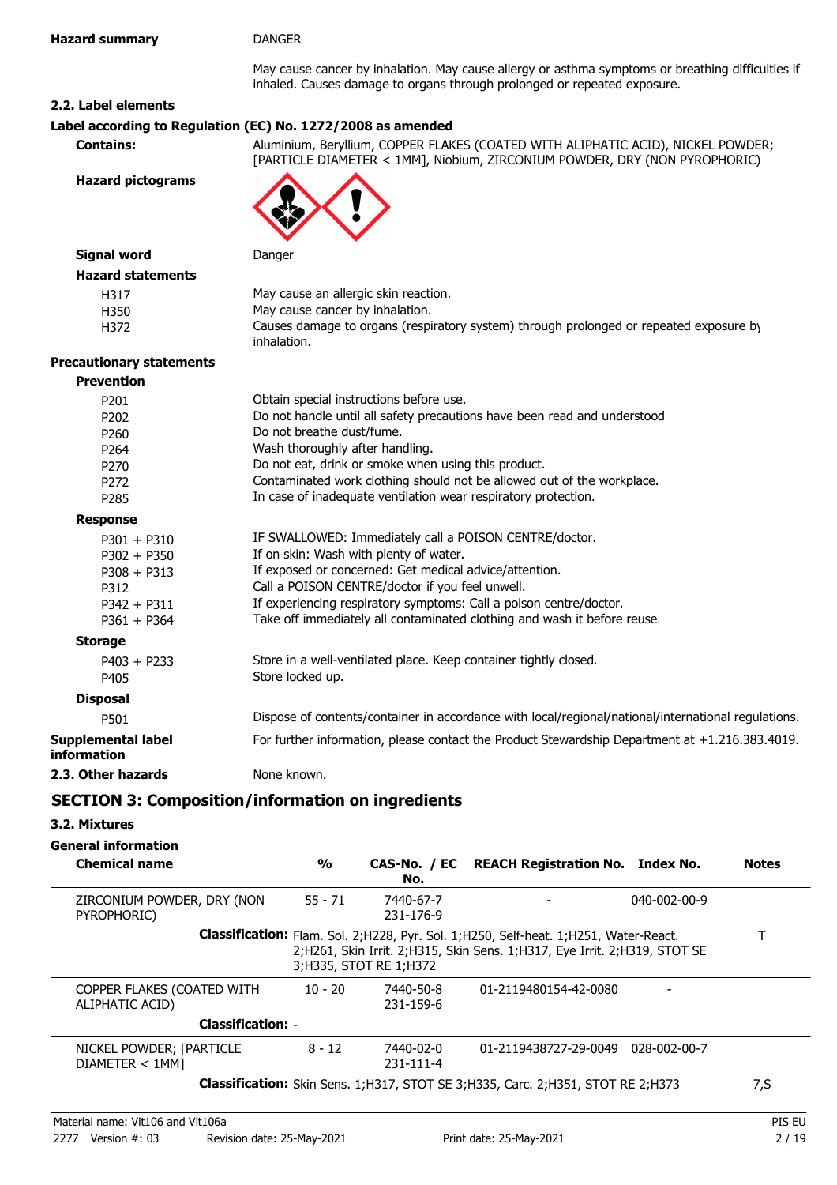May cause cancer by inhalation. May cause allergy or asthma symptoms or breathing difficulties if inhaled. Causes damage to organs through prolonged or repeated exposure.

## **2.2. Label elements**

## **Label according to Regulation (EC) No. 1272/2008 as amended**

**Contains:** Aluminium, Beryllium, COPPER FLAKES (COATED WITH ALIPHATIC ACID), NICKEL POWDER; [PARTICLE DIAMETER < 1MM], Niobium, ZIRCONIUM POWDER, DRY (NON PYROPHORIC)

**Hazard pictograms**



| <b>Prevention</b>                 |                                                                                                     |
|-----------------------------------|-----------------------------------------------------------------------------------------------------|
| P201                              | Obtain special instructions before use.                                                             |
| P <sub>202</sub>                  | Do not handle until all safety precautions have been read and understood.                           |
| P <sub>260</sub>                  | Do not breathe dust/fume.                                                                           |
| P <sub>264</sub>                  | Wash thoroughly after handling.                                                                     |
| P270                              | Do not eat, drink or smoke when using this product.                                                 |
| P <sub>272</sub>                  | Contaminated work clothing should not be allowed out of the workplace.                              |
| P285                              | In case of inadequate ventilation wear respiratory protection.                                      |
| <b>Response</b>                   |                                                                                                     |
| $P301 + P310$                     | IF SWALLOWED: Immediately call a POISON CENTRE/doctor.                                              |
| $P302 + P350$                     | If on skin: Wash with plenty of water.                                                              |
| $P308 + P313$                     | If exposed or concerned: Get medical advice/attention.                                              |
| P312                              | Call a POISON CENTRE/doctor if you feel unwell.                                                     |
| $P342 + P311$                     | If experiencing respiratory symptoms: Call a poison centre/doctor.                                  |
| $P361 + P364$                     | Take off immediately all contaminated clothing and wash it before reuse.                            |
| <b>Storage</b>                    |                                                                                                     |
| $P403 + P233$                     | Store in a well-ventilated place. Keep container tightly closed.                                    |
| P405                              | Store locked up.                                                                                    |
| <b>Disposal</b>                   |                                                                                                     |
| P501                              | Dispose of contents/container in accordance with local/regional/national/international regulations. |
| Supplemental label<br>information | For further information, please contact the Product Stewardship Department at $+1.216.383.4019$ .   |
| 2.3. Other hazards                | None known.                                                                                         |
|                                   |                                                                                                     |

# **SECTION 3: Composition/information on ingredients**

## **3.2. Mixtures**

## **General information**

| <b>Chemical name</b>                          | $\frac{0}{0}$ | No.                          | CAS-No. / EC REACH Registration No. Index No.                                                                                                                        | <b>Notes</b> |
|-----------------------------------------------|---------------|------------------------------|----------------------------------------------------------------------------------------------------------------------------------------------------------------------|--------------|
| ZIRCONIUM POWDER, DRY (NON<br>PYROPHORIC)     | $55 - 71$     | 7440-67-7<br>231-176-9       | $040 - 002 - 00 - 9$                                                                                                                                                 |              |
|                                               |               | 3;H335, STOT RE 1;H372       | Classification: Flam. Sol. 2; H228, Pyr. Sol. 1; H250, Self-heat. 1; H251, Water-React.<br>2;H261, Skin Irrit. 2;H315, Skin Sens. 1;H317, Eye Irrit. 2;H319, STOT SE |              |
| COPPER FLAKES (COATED WITH<br>ALIPHATIC ACID) | $10 - 20$     | 7440-50-8<br>231-159-6       | 01-2119480154-42-0080                                                                                                                                                |              |
| <b>Classification: -</b>                      |               |                              |                                                                                                                                                                      |              |
| NICKEL POWDER; [PARTICLE<br>DIAMETER < 1MM]   | $8 - 12$      | 7440-02-0<br>$231 - 111 - 4$ | 01-2119438727-29-0049<br>028-002-00-7                                                                                                                                |              |
|                                               |               |                              | <b>Classification:</b> Skin Sens. 1;H317, STOT SE 3;H335, Carc. 2;H351, STOT RE 2;H373                                                                               | 7,S          |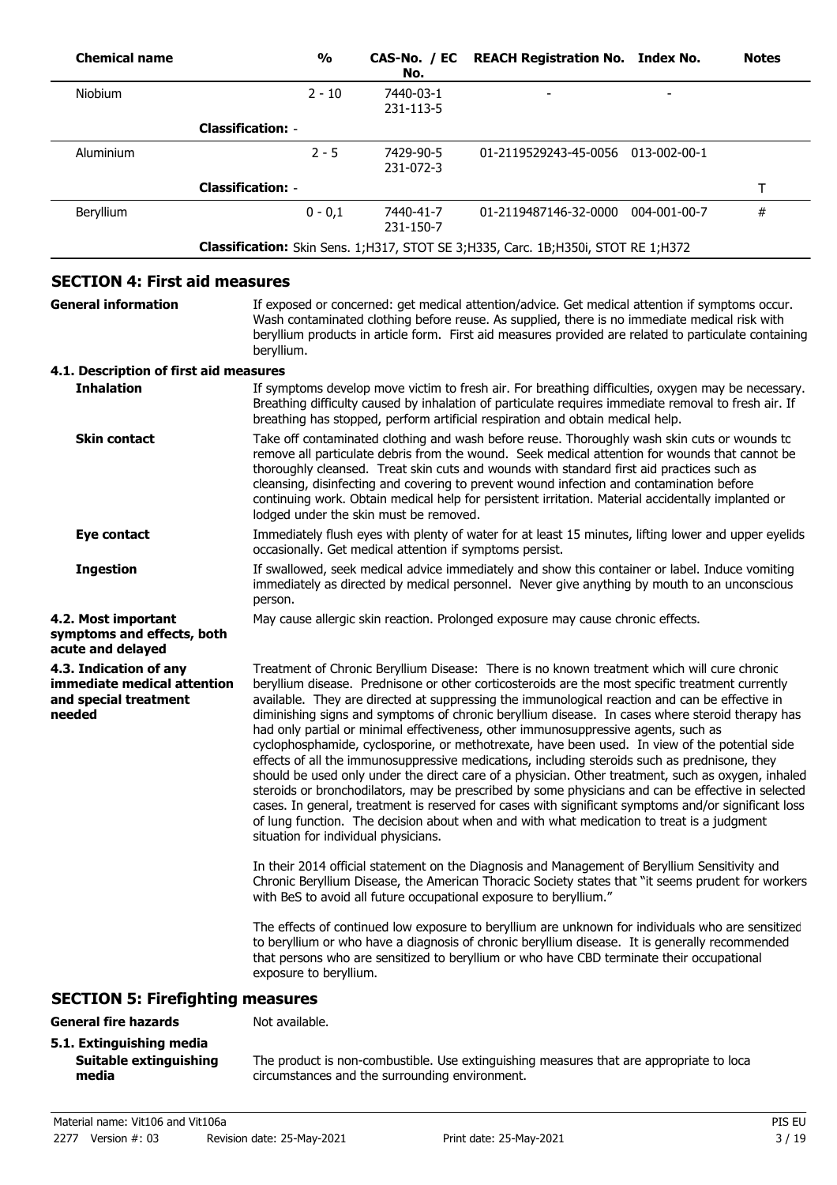| <b>Chemical name</b>                                                                     | $\frac{1}{2}$                          | CAS-No. / EC<br>No.    | <b>REACH Registration No. Index No.</b>                                                                                                                                                                                                                                                                                                                                                                                                                                                                                                                                                                                                                                                                                                                                                                                                                                                                                                                                                                                                                                                                                                                                                                                                                                                                                                                                                    | <b>Notes</b> |
|------------------------------------------------------------------------------------------|----------------------------------------|------------------------|--------------------------------------------------------------------------------------------------------------------------------------------------------------------------------------------------------------------------------------------------------------------------------------------------------------------------------------------------------------------------------------------------------------------------------------------------------------------------------------------------------------------------------------------------------------------------------------------------------------------------------------------------------------------------------------------------------------------------------------------------------------------------------------------------------------------------------------------------------------------------------------------------------------------------------------------------------------------------------------------------------------------------------------------------------------------------------------------------------------------------------------------------------------------------------------------------------------------------------------------------------------------------------------------------------------------------------------------------------------------------------------------|--------------|
| Niobium                                                                                  | $2 - 10$                               | 7440-03-1<br>231-113-5 |                                                                                                                                                                                                                                                                                                                                                                                                                                                                                                                                                                                                                                                                                                                                                                                                                                                                                                                                                                                                                                                                                                                                                                                                                                                                                                                                                                                            |              |
|                                                                                          | <b>Classification: -</b>               |                        |                                                                                                                                                                                                                                                                                                                                                                                                                                                                                                                                                                                                                                                                                                                                                                                                                                                                                                                                                                                                                                                                                                                                                                                                                                                                                                                                                                                            |              |
| Aluminium                                                                                | $2 - 5$                                | 7429-90-5<br>231-072-3 | 01-2119529243-45-0056 013-002-00-1                                                                                                                                                                                                                                                                                                                                                                                                                                                                                                                                                                                                                                                                                                                                                                                                                                                                                                                                                                                                                                                                                                                                                                                                                                                                                                                                                         |              |
|                                                                                          | <b>Classification: -</b>               |                        |                                                                                                                                                                                                                                                                                                                                                                                                                                                                                                                                                                                                                                                                                                                                                                                                                                                                                                                                                                                                                                                                                                                                                                                                                                                                                                                                                                                            | т            |
| Beryllium                                                                                | $0 - 0,1$                              | 7440-41-7<br>231-150-7 | 01-2119487146-32-0000 004-001-00-7                                                                                                                                                                                                                                                                                                                                                                                                                                                                                                                                                                                                                                                                                                                                                                                                                                                                                                                                                                                                                                                                                                                                                                                                                                                                                                                                                         | $\#$         |
|                                                                                          |                                        |                        | <b>Classification:</b> Skin Sens. 1;H317, STOT SE 3;H335, Carc. 1B;H350i, STOT RE 1;H372                                                                                                                                                                                                                                                                                                                                                                                                                                                                                                                                                                                                                                                                                                                                                                                                                                                                                                                                                                                                                                                                                                                                                                                                                                                                                                   |              |
| <b>SECTION 4: First aid measures</b>                                                     |                                        |                        |                                                                                                                                                                                                                                                                                                                                                                                                                                                                                                                                                                                                                                                                                                                                                                                                                                                                                                                                                                                                                                                                                                                                                                                                                                                                                                                                                                                            |              |
| <b>General information</b>                                                               | beryllium.                             |                        | If exposed or concerned: get medical attention/advice. Get medical attention if symptoms occur.<br>Wash contaminated clothing before reuse. As supplied, there is no immediate medical risk with<br>beryllium products in article form. First aid measures provided are related to particulate containing                                                                                                                                                                                                                                                                                                                                                                                                                                                                                                                                                                                                                                                                                                                                                                                                                                                                                                                                                                                                                                                                                  |              |
| 4.1. Description of first aid measures                                                   |                                        |                        |                                                                                                                                                                                                                                                                                                                                                                                                                                                                                                                                                                                                                                                                                                                                                                                                                                                                                                                                                                                                                                                                                                                                                                                                                                                                                                                                                                                            |              |
| <b>Inhalation</b>                                                                        |                                        |                        | If symptoms develop move victim to fresh air. For breathing difficulties, oxygen may be necessary.<br>Breathing difficulty caused by inhalation of particulate requires immediate removal to fresh air. If<br>breathing has stopped, perform artificial respiration and obtain medical help.                                                                                                                                                                                                                                                                                                                                                                                                                                                                                                                                                                                                                                                                                                                                                                                                                                                                                                                                                                                                                                                                                               |              |
| <b>Skin contact</b>                                                                      | lodged under the skin must be removed. |                        | Take off contaminated clothing and wash before reuse. Thoroughly wash skin cuts or wounds to<br>remove all particulate debris from the wound. Seek medical attention for wounds that cannot be<br>thoroughly cleansed. Treat skin cuts and wounds with standard first aid practices such as<br>cleansing, disinfecting and covering to prevent wound infection and contamination before<br>continuing work. Obtain medical help for persistent irritation. Material accidentally implanted or                                                                                                                                                                                                                                                                                                                                                                                                                                                                                                                                                                                                                                                                                                                                                                                                                                                                                              |              |
| <b>Eye contact</b>                                                                       |                                        |                        | Immediately flush eyes with plenty of water for at least 15 minutes, lifting lower and upper eyelids<br>occasionally. Get medical attention if symptoms persist.                                                                                                                                                                                                                                                                                                                                                                                                                                                                                                                                                                                                                                                                                                                                                                                                                                                                                                                                                                                                                                                                                                                                                                                                                           |              |
| <b>Ingestion</b>                                                                         | person.                                |                        | If swallowed, seek medical advice immediately and show this container or label. Induce vomiting<br>immediately as directed by medical personnel. Never give anything by mouth to an unconscious                                                                                                                                                                                                                                                                                                                                                                                                                                                                                                                                                                                                                                                                                                                                                                                                                                                                                                                                                                                                                                                                                                                                                                                            |              |
| 4.2. Most important<br>symptoms and effects, both<br>acute and delayed                   |                                        |                        | May cause allergic skin reaction. Prolonged exposure may cause chronic effects.                                                                                                                                                                                                                                                                                                                                                                                                                                                                                                                                                                                                                                                                                                                                                                                                                                                                                                                                                                                                                                                                                                                                                                                                                                                                                                            |              |
| 4.3. Indication of any<br>immediate medical attention<br>and special treatment<br>needed | situation for individual physicians.   |                        | Treatment of Chronic Beryllium Disease: There is no known treatment which will cure chronic<br>beryllium disease. Prednisone or other corticosteroids are the most specific treatment currently<br>available. They are directed at suppressing the immunological reaction and can be effective in<br>diminishing signs and symptoms of chronic beryllium disease. In cases where steroid therapy has<br>had only partial or minimal effectiveness, other immunosuppressive agents, such as<br>cyclophosphamide, cyclosporine, or methotrexate, have been used. In view of the potential side<br>effects of all the immunosuppressive medications, including steroids such as prednisone, they<br>should be used only under the direct care of a physician. Other treatment, such as oxygen, inhaled<br>steroids or bronchodilators, may be prescribed by some physicians and can be effective in selected<br>cases. In general, treatment is reserved for cases with significant symptoms and/or significant loss<br>of lung function. The decision about when and with what medication to treat is a judgment<br>In their 2014 official statement on the Diagnosis and Management of Beryllium Sensitivity and<br>Chronic Beryllium Disease, the American Thoracic Society states that "it seems prudent for workers<br>with BeS to avoid all future occupational exposure to beryllium." |              |
|                                                                                          | exposure to beryllium.                 |                        | The effects of continued low exposure to beryllium are unknown for individuals who are sensitizec<br>to beryllium or who have a diagnosis of chronic beryllium disease. It is generally recommended<br>that persons who are sensitized to beryllium or who have CBD terminate their occupational                                                                                                                                                                                                                                                                                                                                                                                                                                                                                                                                                                                                                                                                                                                                                                                                                                                                                                                                                                                                                                                                                           |              |
| <b>SECTION 5: Firefighting measures</b>                                                  |                                        |                        |                                                                                                                                                                                                                                                                                                                                                                                                                                                                                                                                                                                                                                                                                                                                                                                                                                                                                                                                                                                                                                                                                                                                                                                                                                                                                                                                                                                            |              |
| <b>General fire hazards</b>                                                              | Not available.                         |                        |                                                                                                                                                                                                                                                                                                                                                                                                                                                                                                                                                                                                                                                                                                                                                                                                                                                                                                                                                                                                                                                                                                                                                                                                                                                                                                                                                                                            |              |
| 5.1 Extinguiching media                                                                  |                                        |                        |                                                                                                                                                                                                                                                                                                                                                                                                                                                                                                                                                                                                                                                                                                                                                                                                                                                                                                                                                                                                                                                                                                                                                                                                                                                                                                                                                                                            |              |

## **5.1. Extinguishing media Suitable extinguishing media**

The product is non-combustible. Use extinguishing measures that are appropriate to local circumstances and the surrounding environment.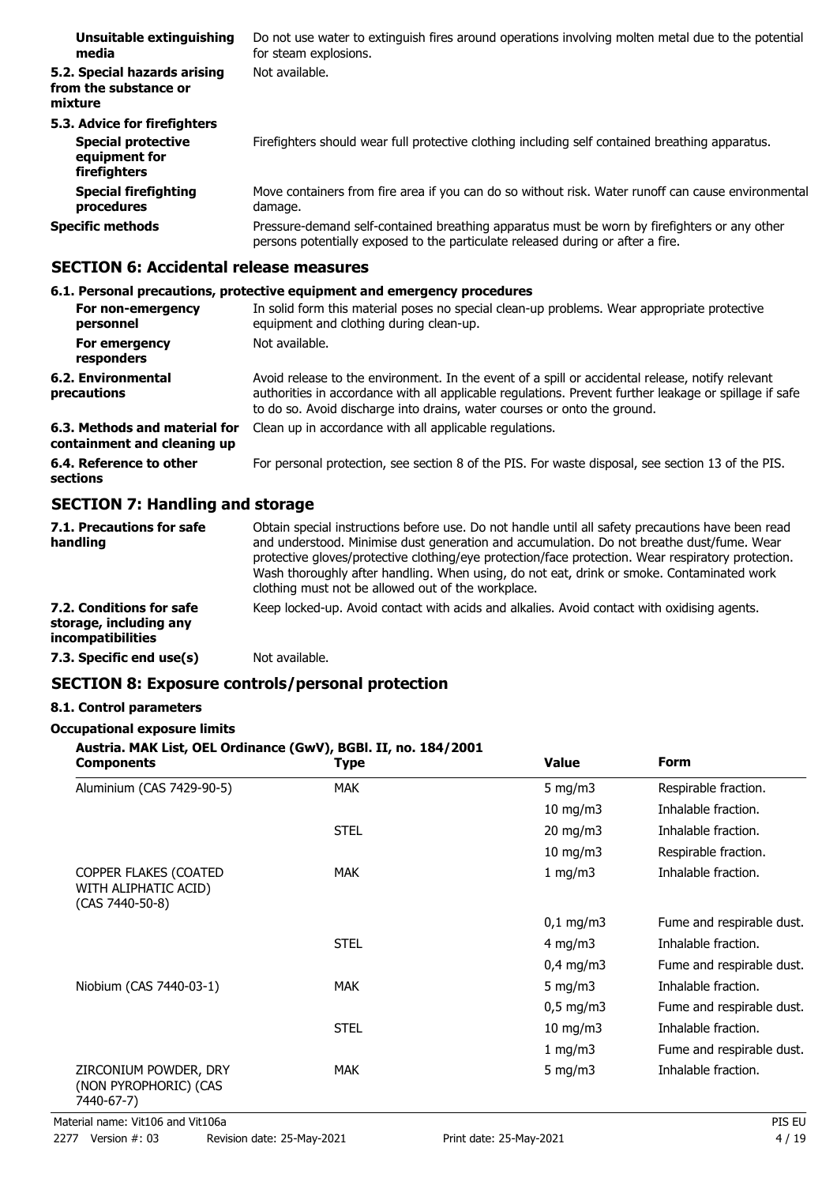| Unsuitable extinguishing<br>media                                                          | Do not use water to extinguish fires around operations involving molten metal due to the potential<br>for steam explosions.                                                     |
|--------------------------------------------------------------------------------------------|---------------------------------------------------------------------------------------------------------------------------------------------------------------------------------|
| 5.2. Special hazards arising<br>from the substance or<br>mixture                           | Not available.                                                                                                                                                                  |
| 5.3. Advice for firefighters<br><b>Special protective</b><br>equipment for<br>firefighters | Firefighters should wear full protective clothing including self contained breathing apparatus.                                                                                 |
| <b>Special firefighting</b><br>procedures                                                  | Move containers from fire area if you can do so without risk. Water runoff can cause environmental<br>damage.                                                                   |
| <b>Specific methods</b>                                                                    | Pressure-demand self-contained breathing apparatus must be worn by firefighters or any other<br>persons potentially exposed to the particulate released during or after a fire. |

# **SECTION 6: Accidental release measures**

# **6.1. Personal precautions, protective equipment and emergency procedures**

| For non-emergency<br>personnel                               | In solid form this material poses no special clean-up problems. Wear appropriate protective<br>equipment and clothing during clean-up.                                                                                                                                                 |
|--------------------------------------------------------------|----------------------------------------------------------------------------------------------------------------------------------------------------------------------------------------------------------------------------------------------------------------------------------------|
| For emergency<br>responders                                  | Not available.                                                                                                                                                                                                                                                                         |
| 6.2. Environmental<br>precautions                            | Avoid release to the environment. In the event of a spill or accidental release, notify relevant<br>authorities in accordance with all applicable regulations. Prevent further leakage or spillage if safe<br>to do so. Avoid discharge into drains, water courses or onto the ground. |
| 6.3. Methods and material for<br>containment and cleaning up | Clean up in accordance with all applicable regulations.                                                                                                                                                                                                                                |
| 6.4. Reference to other<br>sections                          | For personal protection, see section 8 of the PIS. For waste disposal, see section 13 of the PIS.                                                                                                                                                                                      |

# **SECTION 7: Handling and storage**

| 7.1. Precautions for safe<br>handling                                   | Obtain special instructions before use. Do not handle until all safety precautions have been read<br>and understood. Minimise dust generation and accumulation. Do not breathe dust/fume. Wear<br>protective gloves/protective clothing/eye protection/face protection. Wear respiratory protection.<br>Wash thoroughly after handling. When using, do not eat, drink or smoke. Contaminated work<br>clothing must not be allowed out of the workplace. |
|-------------------------------------------------------------------------|---------------------------------------------------------------------------------------------------------------------------------------------------------------------------------------------------------------------------------------------------------------------------------------------------------------------------------------------------------------------------------------------------------------------------------------------------------|
| 7.2. Conditions for safe<br>storage, including any<br>incompatibilities | Keep locked-up. Avoid contact with acids and alkalies. Avoid contact with oxidising agents.                                                                                                                                                                                                                                                                                                                                                             |
| 7.3. Specific end use(s)                                                | Not available.                                                                                                                                                                                                                                                                                                                                                                                                                                          |

# **SECTION 8: Exposure controls/personal protection**

# **8.1. Control parameters**

## **Occupational exposure limits**

# **Austria. MAK List, OEL Ordinance (GwV), BGBl. II, no. 184/2001**

| <b>Components</b>                                                | <b>Type</b> | <b>Value</b>         | <b>Form</b>               |
|------------------------------------------------------------------|-------------|----------------------|---------------------------|
| Aluminium (CAS 7429-90-5)                                        | <b>MAK</b>  | 5 mg/m $3$           | Respirable fraction.      |
|                                                                  |             | $10$ mg/m $3$        | Inhalable fraction.       |
|                                                                  | <b>STEL</b> | $20$ mg/m $3$        | Inhalable fraction.       |
|                                                                  |             | $10$ mg/m $3$        | Respirable fraction.      |
| COPPER FLAKES (COATED<br>WITH ALIPHATIC ACID)<br>(CAS 7440-50-8) | <b>MAK</b>  | 1 mg/m3              | Inhalable fraction.       |
|                                                                  |             | $0,1 \, \text{mg/m}$ | Fume and respirable dust. |
|                                                                  | <b>STEL</b> | $4$ mg/m $3$         | Inhalable fraction.       |
|                                                                  |             | $0,4$ mg/m3          | Fume and respirable dust. |
| Niobium (CAS 7440-03-1)                                          | <b>MAK</b>  | 5 mg/m $3$           | Inhalable fraction.       |
|                                                                  |             | $0,5 \text{ mg/m}$   | Fume and respirable dust. |
|                                                                  | <b>STEL</b> | 10 mg/m $3$          | Inhalable fraction.       |
|                                                                  |             | 1 mg/m3              | Fume and respirable dust. |
| ZIRCONIUM POWDER, DRY<br>(NON PYROPHORIC) (CAS<br>7440-67-7)     | <b>MAK</b>  | 5 mg/m $3$           | Inhalable fraction.       |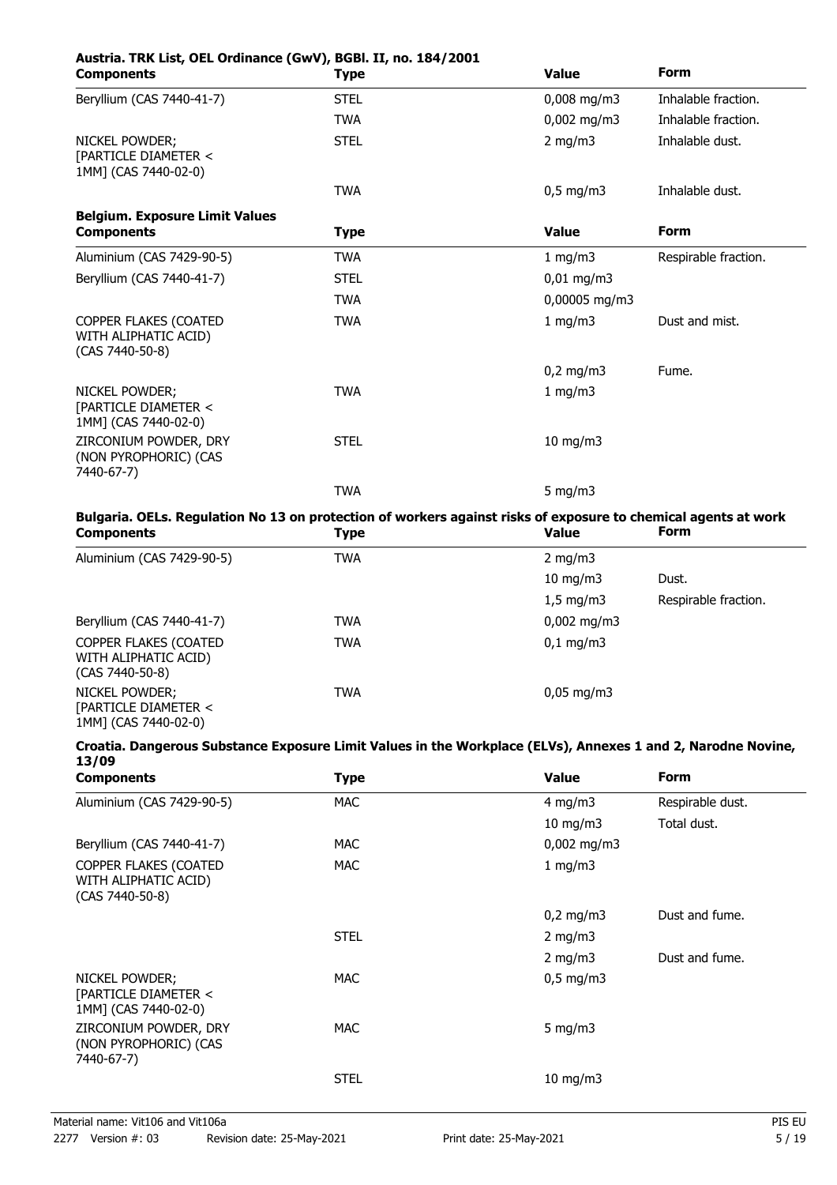| Austria. TRK List, OEL Ordinance (GwV), BGBI. II, no. 184/2001<br><b>Components</b> | <b>Type</b> | <b>Value</b>  | <b>Form</b>          |
|-------------------------------------------------------------------------------------|-------------|---------------|----------------------|
| Beryllium (CAS 7440-41-7)                                                           | <b>STEL</b> | $0,008$ mg/m3 | Inhalable fraction.  |
|                                                                                     | <b>TWA</b>  | $0,002$ mg/m3 | Inhalable fraction.  |
| NICKEL POWDER;<br>[PARTICLE DIAMETER <<br>1MM] (CAS 7440-02-0)                      | <b>STEL</b> | 2 mg/m $3$    | Inhalable dust.      |
|                                                                                     | <b>TWA</b>  | $0,5$ mg/m3   | Inhalable dust.      |
| <b>Belgium. Exposure Limit Values</b>                                               |             |               |                      |
| <b>Components</b>                                                                   | <b>Type</b> | <b>Value</b>  | <b>Form</b>          |
| Aluminium (CAS 7429-90-5)                                                           | <b>TWA</b>  | 1 mg/m3       | Respirable fraction. |
| Beryllium (CAS 7440-41-7)                                                           | <b>STEL</b> | $0,01$ mg/m3  |                      |
|                                                                                     | <b>TWA</b>  | 0,00005 mg/m3 |                      |
| COPPER FLAKES (COATED<br>WITH ALIPHATIC ACID)<br>(CAS 7440-50-8)                    | <b>TWA</b>  | 1 mg/m3       | Dust and mist.       |
|                                                                                     |             | $0,2$ mg/m3   | Fume.                |
| <b>NICKEL POWDER:</b><br>[PARTICLE DIAMETER <<br>1MM] (CAS 7440-02-0)               | <b>TWA</b>  | 1 mg/m3       |                      |
| ZIRCONIUM POWDER, DRY<br>(NON PYROPHORIC) (CAS<br>7440-67-7)                        | <b>STEL</b> | $10$ mg/m $3$ |                      |
|                                                                                     | <b>TWA</b>  | 5 mg/m $3$    |                      |
|                                                                                     |             |               |                      |

#### **Bulgaria. OELs. Regulation No 13 on protection of workers against risks of exposure to chemical agents at work**<br>Components **and the components** of the state of the state of the state of the state of the state of the state **Components**

| Components                                                         | ' Y he     | vaiuc                   | .                    |
|--------------------------------------------------------------------|------------|-------------------------|----------------------|
| Aluminium (CAS 7429-90-5)                                          | TWA        | 2 mg/m $3$              |                      |
|                                                                    |            | 10 mg/m $3$             | Dust.                |
|                                                                    |            | $1,5 \text{ mg/m}$      | Respirable fraction. |
| Beryllium (CAS 7440-41-7)                                          | TWA        | $0,002 \,\mathrm{mg/m}$ |                      |
| COPPER FLAKES (COATED<br>WITH ALIPHATIC ACID)<br>$(CAS 7440-50-8)$ | TWA        | $0,1 \, \text{mg/m}$    |                      |
| NICKEL POWDER;<br>[PARTICLE DIAMETER <<br>1MM] (CAS 7440-02-0)     | <b>TWA</b> | $0,05 \,\mathrm{mg/m}$  |                      |

#### **Croatia. Dangerous Substance Exposure Limit Values in the Workplace (ELVs), Annexes 1 and 2, Narodne Novine, 13/09**

| <b>Components</b>                                                | <b>Type</b> | <b>Value</b>         | <b>Form</b>      |
|------------------------------------------------------------------|-------------|----------------------|------------------|
| Aluminium (CAS 7429-90-5)                                        | <b>MAC</b>  | 4 mg/m $3$           | Respirable dust. |
|                                                                  |             | $10$ mg/m $3$        | Total dust.      |
| Beryllium (CAS 7440-41-7)                                        | MAC.        | $0,002 \text{ mg/m}$ |                  |
| COPPER FLAKES (COATED<br>WITH ALIPHATIC ACID)<br>(CAS 7440-50-8) | <b>MAC</b>  | 1 mg/m3              |                  |
|                                                                  |             | $0,2 \text{ mg/m}$   | Dust and fume.   |
|                                                                  | <b>STEL</b> | 2 mg/m $3$           |                  |
|                                                                  |             | 2 mg/m $3$           | Dust and fume.   |
| NICKEL POWDER;<br>[PARTICLE DIAMETER <<br>1MM] (CAS 7440-02-0)   | <b>MAC</b>  | $0,5$ mg/m3          |                  |
| ZIRCONIUM POWDER, DRY<br>(NON PYROPHORIC) (CAS<br>7440-67-7)     | MAC.        | 5 mg/m $3$           |                  |
|                                                                  | <b>STEL</b> | $10 \text{ mg/m}$    |                  |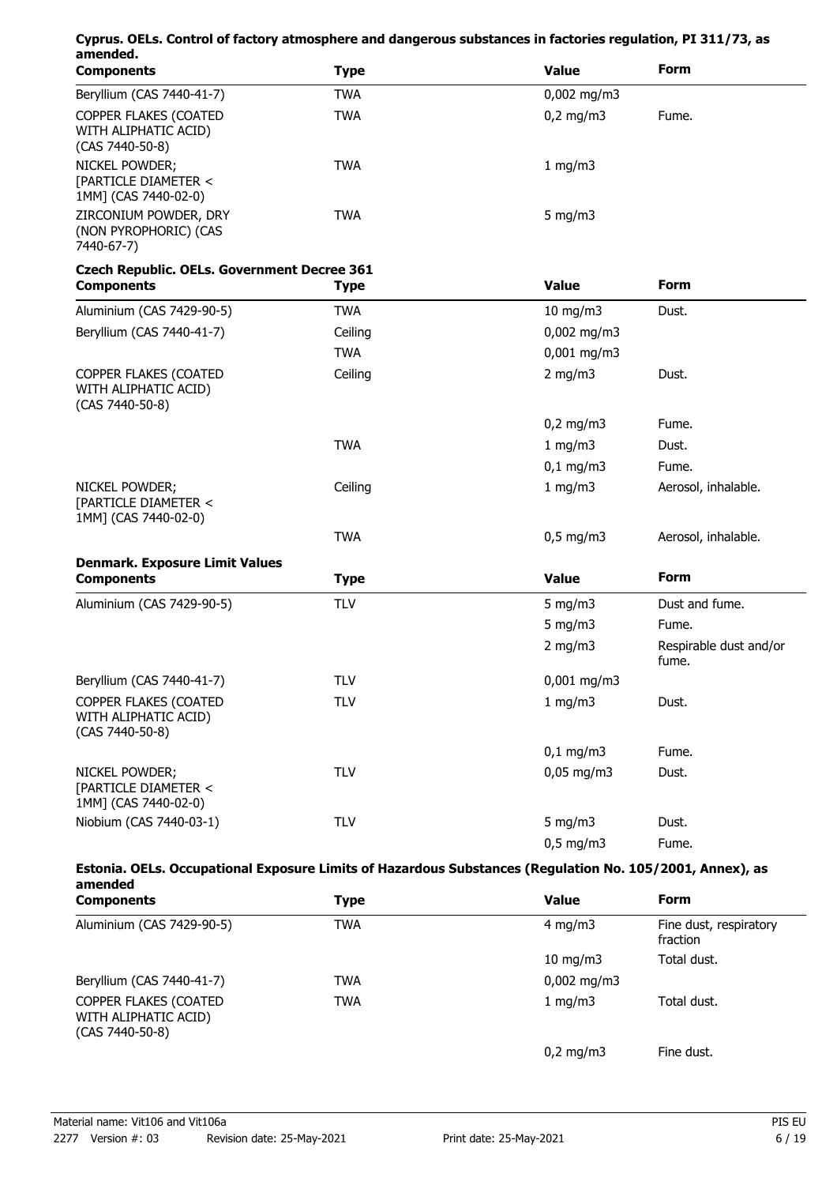| Cyprus. OELs. Control of factory atmosphere and dangerous substances in factories regulation, PI 311/73, as<br>amended. |             |                  |                                 |
|-------------------------------------------------------------------------------------------------------------------------|-------------|------------------|---------------------------------|
| <b>Components</b>                                                                                                       | <b>Type</b> | <b>Value</b>     | <b>Form</b>                     |
| Beryllium (CAS 7440-41-7)                                                                                               | <b>TWA</b>  | $0,002$ mg/m3    |                                 |
| COPPER FLAKES (COATED<br>WITH ALIPHATIC ACID)<br>(CAS 7440-50-8)                                                        | <b>TWA</b>  | $0,2$ mg/m3      | Fume.                           |
| NICKEL POWDER;<br>[PARTICLE DIAMETER <<br>1MM] (CAS 7440-02-0)                                                          | <b>TWA</b>  | 1 mg/m3          |                                 |
| ZIRCONIUM POWDER, DRY<br>(NON PYROPHORIC) (CAS<br>7440-67-7)                                                            | <b>TWA</b>  | 5 mg/m $3$       |                                 |
| <b>Czech Republic. OELs. Government Decree 361</b>                                                                      |             |                  |                                 |
| <b>Components</b>                                                                                                       | <b>Type</b> | <b>Value</b>     | <b>Form</b>                     |
| Aluminium (CAS 7429-90-5)                                                                                               | <b>TWA</b>  | $10$ mg/m $3$    | Dust.                           |
| Beryllium (CAS 7440-41-7)                                                                                               | Ceiling     | $0,002$ mg/m3    |                                 |
|                                                                                                                         | <b>TWA</b>  | $0,001$ mg/m3    |                                 |
| COPPER FLAKES (COATED<br>WITH ALIPHATIC ACID)<br>(CAS 7440-50-8)                                                        | Ceiling     | 2 mg/m $3$       | Dust.                           |
|                                                                                                                         |             | $0,2$ mg/m3      | Fume.                           |
|                                                                                                                         | <b>TWA</b>  | 1 mg/m3          | Dust.                           |
|                                                                                                                         |             | $0,1$ mg/m3      | Fume.                           |
| NICKEL POWDER;<br>[PARTICLE DIAMETER <<br>1MM] (CAS 7440-02-0)                                                          | Ceiling     | 1 mg/m3          | Aerosol, inhalable.             |
|                                                                                                                         | <b>TWA</b>  | $0,5$ mg/m3      | Aerosol, inhalable.             |
| <b>Denmark. Exposure Limit Values</b>                                                                                   |             |                  |                                 |
| <b>Components</b>                                                                                                       | <b>Type</b> | <b>Value</b>     | <b>Form</b>                     |
| Aluminium (CAS 7429-90-5)                                                                                               | <b>TLV</b>  | $5 \text{ mg/m}$ | Dust and fume.                  |
|                                                                                                                         |             | 5 mg/m $3$       | Fume.                           |
|                                                                                                                         |             | 2 mg/m $3$       | Respirable dust and/or<br>fume. |
| Beryllium (CAS 7440-41-7)                                                                                               | <b>TLV</b>  | $0,001$ mg/m3    |                                 |
| COPPER FLAKES (COATED<br>WITH ALIPHATIC ACID)<br>(CAS 7440-50-8)                                                        | <b>TLV</b>  | $1$ mg/m $3$     | Dust.                           |
|                                                                                                                         |             | $0,1$ mg/m3      | Fume.                           |
| NICKEL POWDER;<br>[PARTICLE DIAMETER <<br>1MM] (CAS 7440-02-0)                                                          | <b>TLV</b>  | $0,05$ mg/m3     | Dust.                           |
| Niobium (CAS 7440-03-1)                                                                                                 | <b>TLV</b>  | 5 mg/m $3$       | Dust.                           |
|                                                                                                                         |             | $0,5$ mg/m3      | Fume.                           |
| Estonia. OELs. Occupational Exposure Limits of Hazardous Substances (Regulation No. 105/2001, Annex), as<br>amended     |             |                  |                                 |
| <b>Components</b>                                                                                                       | <b>Tyne</b> | Value            | Form                            |

| <b>Components</b>                                                  | Type | <b>Value</b>         | <b>Form</b>                        |
|--------------------------------------------------------------------|------|----------------------|------------------------------------|
| Aluminium (CAS 7429-90-5)                                          | TWA  | 4 mg/m $3$           | Fine dust, respiratory<br>fraction |
|                                                                    |      | 10 mg/m $3$          | Total dust.                        |
| Beryllium (CAS 7440-41-7)                                          | TWA  | $0,002 \text{ mg/m}$ |                                    |
| COPPER FLAKES (COATED<br>WITH ALIPHATIC ACID)<br>$(CAS 7440-50-8)$ | TWA  | 1 mg/m $3$           | Total dust.                        |
|                                                                    |      | $0,2$ mg/m3          | Fine dust.                         |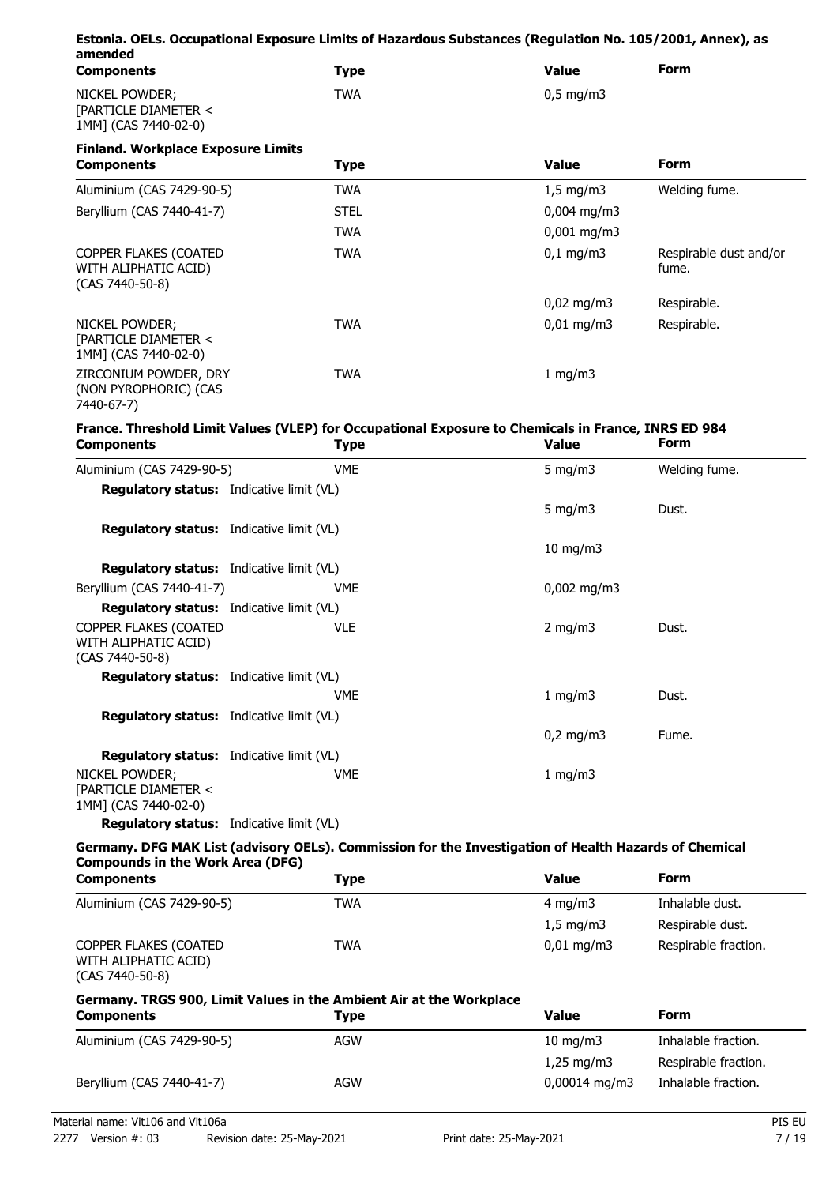| amended                                                                                                      | Estonia. OELs. Occupational Exposure Limits of Hazardous Substances (Regulation No. 105/2001, Annex), as           |               |                                 |
|--------------------------------------------------------------------------------------------------------------|--------------------------------------------------------------------------------------------------------------------|---------------|---------------------------------|
| <b>Components</b>                                                                                            | <b>Type</b>                                                                                                        | <b>Value</b>  | Form                            |
| NICKEL POWDER;<br>[PARTICLE DIAMETER <<br>1MM] (CAS 7440-02-0)                                               | <b>TWA</b>                                                                                                         | $0,5$ mg/m3   |                                 |
| <b>Finland. Workplace Exposure Limits</b><br><b>Components</b>                                               | <b>Type</b>                                                                                                        | <b>Value</b>  | Form                            |
| Aluminium (CAS 7429-90-5)                                                                                    | <b>TWA</b>                                                                                                         | $1,5$ mg/m3   | Welding fume.                   |
| Beryllium (CAS 7440-41-7)                                                                                    | <b>STEL</b>                                                                                                        | $0,004$ mg/m3 |                                 |
|                                                                                                              | <b>TWA</b>                                                                                                         | $0,001$ mg/m3 |                                 |
| COPPER FLAKES (COATED<br>WITH ALIPHATIC ACID)<br>(CAS 7440-50-8)                                             | <b>TWA</b>                                                                                                         | $0,1$ mg/m3   | Respirable dust and/or<br>fume. |
|                                                                                                              |                                                                                                                    | $0,02$ mg/m3  | Respirable.                     |
| NICKEL POWDER;<br>[PARTICLE DIAMETER <<br>1MM] (CAS 7440-02-0)                                               | <b>TWA</b>                                                                                                         | $0,01$ mg/m3  | Respirable.                     |
| ZIRCONIUM POWDER, DRY<br>(NON PYROPHORIC) (CAS<br>7440-67-7)                                                 | <b>TWA</b>                                                                                                         | 1 mg/m3       |                                 |
| <b>Components</b>                                                                                            | France. Threshold Limit Values (VLEP) for Occupational Exposure to Chemicals in France, INRS ED 984<br><b>Type</b> | <b>Value</b>  | <b>Form</b>                     |
| Aluminium (CAS 7429-90-5)                                                                                    | <b>VME</b>                                                                                                         | 5 mg/m $3$    | Welding fume.                   |
| <b>Regulatory status:</b> Indicative limit (VL)                                                              |                                                                                                                    |               |                                 |
|                                                                                                              |                                                                                                                    | 5 mg/m $3$    | Dust.                           |
| <b>Regulatory status:</b> Indicative limit (VL)                                                              |                                                                                                                    | $10$ mg/m $3$ |                                 |
| <b>Regulatory status:</b> Indicative limit (VL)                                                              |                                                                                                                    |               |                                 |
| Beryllium (CAS 7440-41-7)                                                                                    | <b>VME</b>                                                                                                         | $0,002$ mg/m3 |                                 |
| Regulatory status: Indicative limit (VL)<br>COPPER FLAKES (COATED<br>WITH ALIPHATIC ACID)<br>(CAS 7440-50-8) | <b>VLE</b>                                                                                                         | $2$ mg/m $3$  | Dust.                           |
| <b>Regulatory status:</b> Indicative limit (VL)                                                              |                                                                                                                    |               |                                 |
|                                                                                                              | <b>VME</b>                                                                                                         | 1 mg/m3       | Dust.                           |
| <b>Regulatory status:</b> Indicative limit (VL)                                                              |                                                                                                                    | $0,2$ mg/m3   | Fume.                           |
| <b>Regulatory status:</b> Indicative limit (VL)<br>NICKEL POWDER;<br>[PARTICLE DIAMETER <                    | VME                                                                                                                | 1 mg/m3       |                                 |
| 1MM] (CAS 7440-02-0)<br><b>Regulatory status:</b> Indicative limit (VL)                                      |                                                                                                                    |               |                                 |
|                                                                                                              |                                                                                                                    |               |                                 |
| <b>Compounds in the Work Area (DFG)</b>                                                                      | Germany. DFG MAK List (advisory OELs). Commission for the Investigation of Health Hazards of Chemical              |               |                                 |
| <b>Components</b>                                                                                            | <b>Type</b>                                                                                                        | <b>Value</b>  | Form                            |
| Aluminium (CAS 7429-90-5)                                                                                    | <b>TWA</b>                                                                                                         | $4$ mg/m $3$  | Inhalable dust.                 |
|                                                                                                              |                                                                                                                    | $1,5$ mg/m3   | Respirable dust.                |
| COPPER FLAKES (COATED<br>WITH ALIPHATIC ACID)<br>(CAS 7440-50-8)                                             | <b>TWA</b>                                                                                                         | $0,01$ mg/m3  | Respirable fraction.            |
| <b>Components</b>                                                                                            | Germany. TRGS 900, Limit Values in the Ambient Air at the Workplace<br><b>Type</b>                                 | <b>Value</b>  | Form                            |
| Aluminium (CAS 7429-90-5)                                                                                    | <b>AGW</b>                                                                                                         | $10$ mg/m $3$ | Inhalable fraction.             |
|                                                                                                              |                                                                                                                    | $1,25$ mg/m3  | Respirable fraction.            |
| Beryllium (CAS 7440-41-7)                                                                                    | <b>AGW</b>                                                                                                         | 0,00014 mg/m3 | Inhalable fraction.             |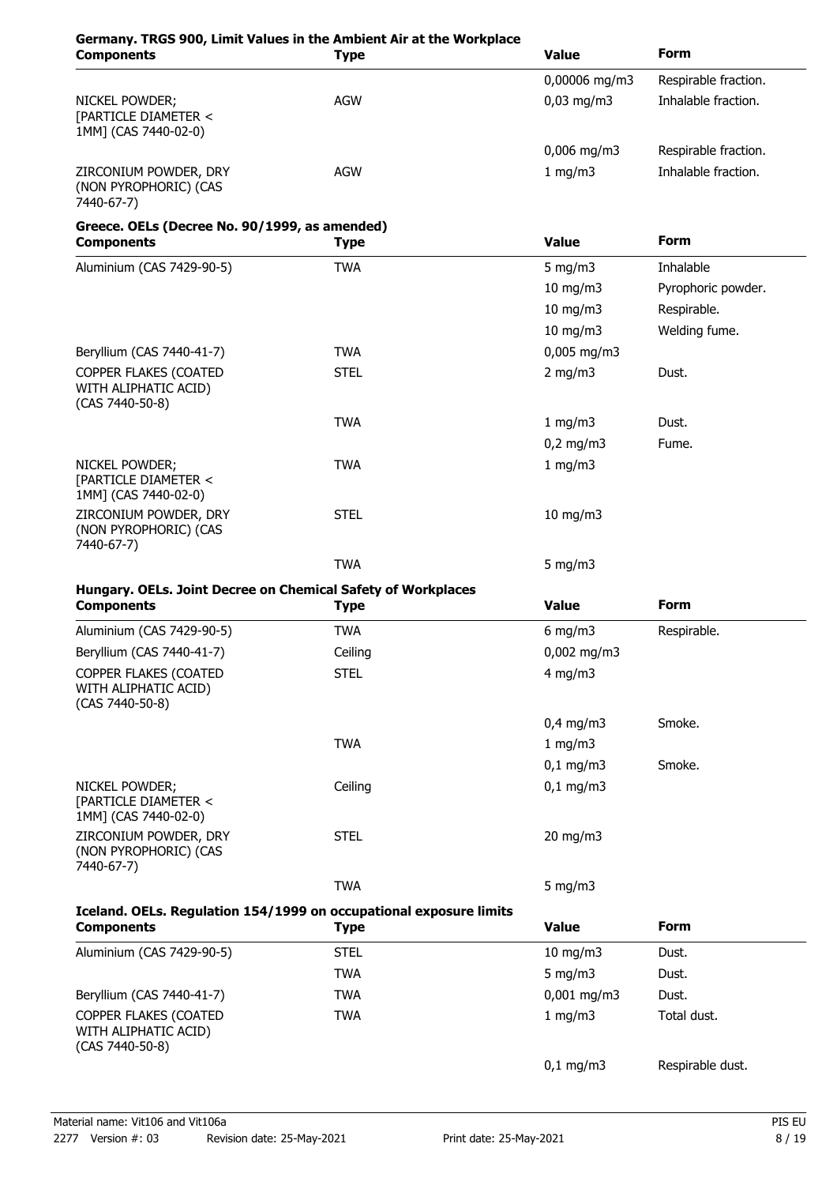| <b>Components</b>                                                                 | Germany. TRGS 900, Limit Values in the Ambient Air at the Workplace<br><b>Type</b> | <b>Value</b>  | <b>Form</b>          |
|-----------------------------------------------------------------------------------|------------------------------------------------------------------------------------|---------------|----------------------|
|                                                                                   |                                                                                    | 0,00006 mg/m3 | Respirable fraction. |
| NICKEL POWDER;<br>[PARTICLE DIAMETER <<br>1MM] (CAS 7440-02-0)                    | AGW                                                                                | $0,03$ mg/m3  | Inhalable fraction.  |
|                                                                                   |                                                                                    | $0,006$ mg/m3 | Respirable fraction. |
| ZIRCONIUM POWDER, DRY<br>(NON PYROPHORIC) (CAS<br>7440-67-7)                      | <b>AGW</b>                                                                         | 1 mg/m $3$    | Inhalable fraction.  |
| Greece. OELs (Decree No. 90/1999, as amended)<br><b>Components</b>                | <b>Type</b>                                                                        | <b>Value</b>  | <b>Form</b>          |
| Aluminium (CAS 7429-90-5)                                                         | <b>TWA</b>                                                                         | 5 mg/m $3$    | Inhalable            |
|                                                                                   |                                                                                    | 10 mg/m3      | Pyrophoric powder.   |
|                                                                                   |                                                                                    | $10$ mg/m $3$ | Respirable.          |
|                                                                                   |                                                                                    | $10$ mg/m $3$ | Welding fume.        |
| Beryllium (CAS 7440-41-7)                                                         | <b>TWA</b>                                                                         | $0,005$ mg/m3 |                      |
| COPPER FLAKES (COATED<br>WITH ALIPHATIC ACID)<br>(CAS 7440-50-8)                  | <b>STEL</b>                                                                        | $2$ mg/m $3$  | Dust.                |
|                                                                                   | <b>TWA</b>                                                                         | 1 mg/m3       | Dust.                |
|                                                                                   |                                                                                    | $0,2$ mg/m3   | Fume.                |
| NICKEL POWDER;<br>[PARTICLE DIAMETER <<br>1MM] (CAS 7440-02-0)                    | <b>TWA</b>                                                                         | 1 mg/m3       |                      |
| ZIRCONIUM POWDER, DRY<br>(NON PYROPHORIC) (CAS<br>7440-67-7)                      | <b>STEL</b>                                                                        | $10$ mg/m $3$ |                      |
|                                                                                   | <b>TWA</b>                                                                         | 5 mg/m $3$    |                      |
| Hungary. OELs. Joint Decree on Chemical Safety of Workplaces<br><b>Components</b> | <b>Type</b>                                                                        | <b>Value</b>  | <b>Form</b>          |
| Aluminium (CAS 7429-90-5)                                                         | <b>TWA</b>                                                                         | 6 mg/m $3$    | Respirable.          |
| Beryllium (CAS 7440-41-7)                                                         | Ceiling                                                                            | $0,002$ mg/m3 |                      |
| COPPER FLAKES (COATED<br>WITH ALIPHATIC ACID)<br>(CAS 7440-50-8)                  | <b>STEL</b>                                                                        | $4$ mg/m $3$  |                      |
|                                                                                   |                                                                                    | $0,4$ mg/m3   | Smoke.               |
|                                                                                   | <b>TWA</b>                                                                         | 1 mg/m3       |                      |
|                                                                                   |                                                                                    | $0,1$ mg/m3   | Smoke.               |
| NICKEL POWDER;<br>[PARTICLE DIAMETER <<br>1MM] (CAS 7440-02-0)                    | Ceiling                                                                            | $0,1$ mg/m3   |                      |
| ZIRCONIUM POWDER, DRY<br>(NON PYROPHORIC) (CAS<br>7440-67-7)                      | <b>STEL</b>                                                                        | $20$ mg/m $3$ |                      |
|                                                                                   | <b>TWA</b>                                                                         | 5 mg/m $3$    |                      |
| <b>Components</b>                                                                 | Iceland. OELs. Regulation 154/1999 on occupational exposure limits<br><b>Type</b>  | <b>Value</b>  | Form                 |
| Aluminium (CAS 7429-90-5)                                                         | <b>STEL</b>                                                                        | 10 mg/m3      | Dust.                |
|                                                                                   | <b>TWA</b>                                                                         | 5 mg/m $3$    | Dust.                |
| Beryllium (CAS 7440-41-7)                                                         | <b>TWA</b>                                                                         | $0,001$ mg/m3 | Dust.                |
| COPPER FLAKES (COATED<br>WITH ALIPHATIC ACID)<br>(CAS 7440-50-8)                  | <b>TWA</b>                                                                         | 1 mg/m $3$    | Total dust.          |

0,1 mg/m3 Respirable dust.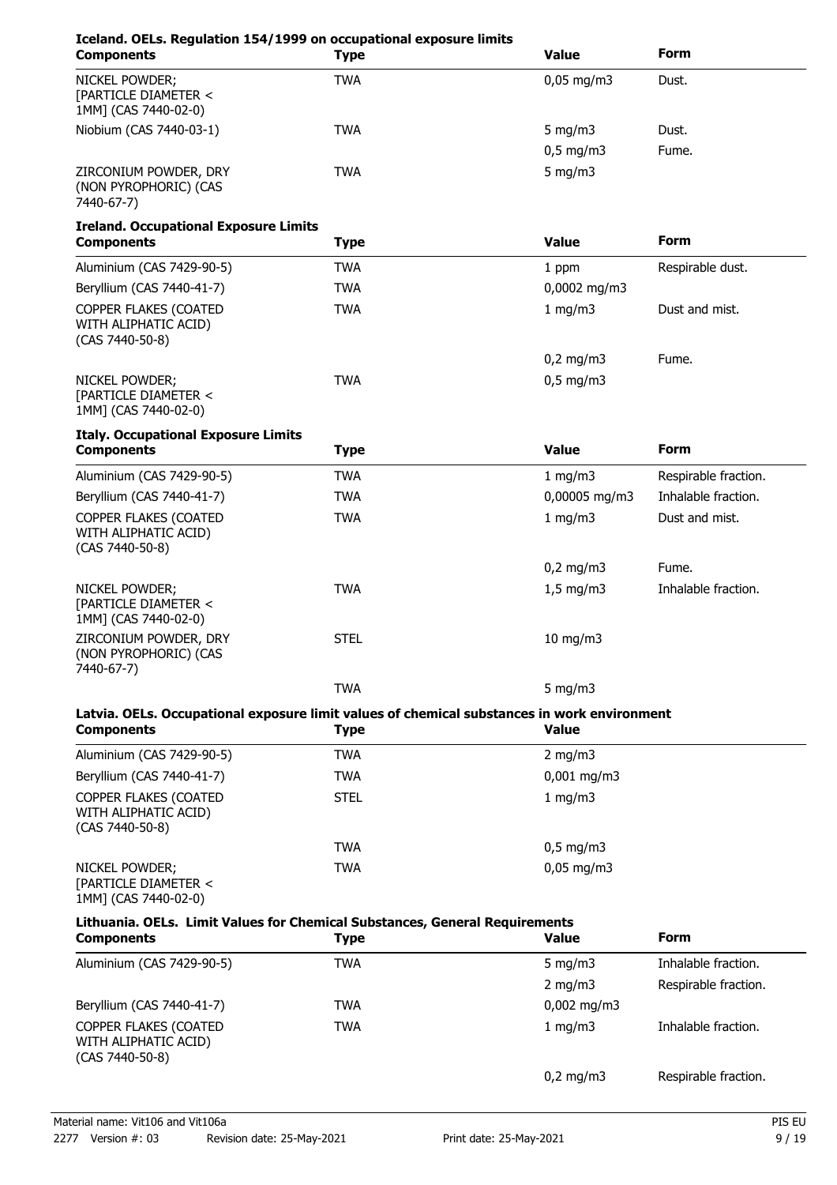| Iceland. OELs. Regulation 154/1999 on occupational exposure limits<br><b>Components</b>                          | <b>Type</b> | <b>Value</b>          | <b>Form</b>          |
|------------------------------------------------------------------------------------------------------------------|-------------|-----------------------|----------------------|
| NICKEL POWDER;<br>[PARTICLE DIAMETER <<br>1MM] (CAS 7440-02-0)                                                   | <b>TWA</b>  | $0,05 \text{ mg/m}$ 3 | Dust.                |
| Niobium (CAS 7440-03-1)                                                                                          | <b>TWA</b>  | 5 mg/m $3$            | Dust.                |
|                                                                                                                  |             | $0,5$ mg/m3           | Fume.                |
| ZIRCONIUM POWDER, DRY<br>(NON PYROPHORIC) (CAS<br>7440-67-7)                                                     | <b>TWA</b>  | $5$ mg/m $3$          |                      |
| <b>Ireland. Occupational Exposure Limits</b><br><b>Components</b>                                                | <b>Type</b> | <b>Value</b>          | <b>Form</b>          |
| Aluminium (CAS 7429-90-5)                                                                                        | <b>TWA</b>  | 1 ppm                 | Respirable dust.     |
| Beryllium (CAS 7440-41-7)                                                                                        | <b>TWA</b>  | 0,0002 mg/m3          |                      |
| COPPER FLAKES (COATED<br>WITH ALIPHATIC ACID)<br>(CAS 7440-50-8)                                                 | <b>TWA</b>  | 1 mg/m3               | Dust and mist.       |
|                                                                                                                  |             | $0,2$ mg/m3           | Fume.                |
| NICKEL POWDER;<br>[PARTICLE DIAMETER <<br>1MM] (CAS 7440-02-0)                                                   | <b>TWA</b>  | $0,5$ mg/m3           |                      |
| <b>Italy. Occupational Exposure Limits</b><br><b>Components</b>                                                  | <b>Type</b> | <b>Value</b>          | <b>Form</b>          |
| Aluminium (CAS 7429-90-5)                                                                                        | <b>TWA</b>  | 1 mg/m $3$            | Respirable fraction. |
| Beryllium (CAS 7440-41-7)                                                                                        | <b>TWA</b>  | 0,00005 mg/m3         | Inhalable fraction.  |
| COPPER FLAKES (COATED<br>WITH ALIPHATIC ACID)<br>(CAS 7440-50-8)                                                 | <b>TWA</b>  | 1 mg/m3               | Dust and mist.       |
|                                                                                                                  |             | $0,2$ mg/m3           | Fume.                |
| NICKEL POWDER;<br>[PARTICLE DIAMETER <<br>1MM] (CAS 7440-02-0)                                                   | <b>TWA</b>  | $1,5$ mg/m3           | Inhalable fraction.  |
| ZIRCONIUM POWDER, DRY<br>(NON PYROPHORIC) (CAS<br>7440-67-7)                                                     | <b>STEL</b> | $10$ mg/m $3$         |                      |
|                                                                                                                  | <b>TWA</b>  | 5 mg/m $3$            |                      |
| Latvia. OELs. Occupational exposure limit values of chemical substances in work environment<br><b>Components</b> | <b>Type</b> | <b>Value</b>          |                      |
| Aluminium (CAS 7429-90-5)                                                                                        | <b>TWA</b>  | 2 mg/m $3$            |                      |
| Beryllium (CAS 7440-41-7)                                                                                        | <b>TWA</b>  | $0,001$ mg/m3         |                      |
| COPPER FLAKES (COATED<br>WITH ALIPHATIC ACID)<br>(CAS 7440-50-8)                                                 | <b>STEL</b> | 1 mg/m3               |                      |
|                                                                                                                  | <b>TWA</b>  | $0,5$ mg/m3           |                      |
| NICKEL POWDER;<br>[PARTICLE DIAMETER <<br>1MM] (CAS 7440-02-0)                                                   | <b>TWA</b>  | $0,05$ mg/m3          |                      |
| Lithuania. OELs. Limit Values for Chemical Substances, General Requirements<br><b>Components</b>                 | <b>Type</b> | <b>Value</b>          | <b>Form</b>          |
| Aluminium (CAS 7429-90-5)                                                                                        | <b>TWA</b>  | 5 mg/m $3$            | Inhalable fraction.  |
|                                                                                                                  |             | $2$ mg/m $3$          | Respirable fraction. |
| Beryllium (CAS 7440-41-7)                                                                                        | <b>TWA</b>  | $0,002$ mg/m3         |                      |
| COPPER FLAKES (COATED<br>WITH ALIPHATIC ACID)<br>(CAS 7440-50-8)                                                 | <b>TWA</b>  | 1 mg/m3               | Inhalable fraction.  |
|                                                                                                                  |             | $0,2$ mg/m3           | Respirable fraction. |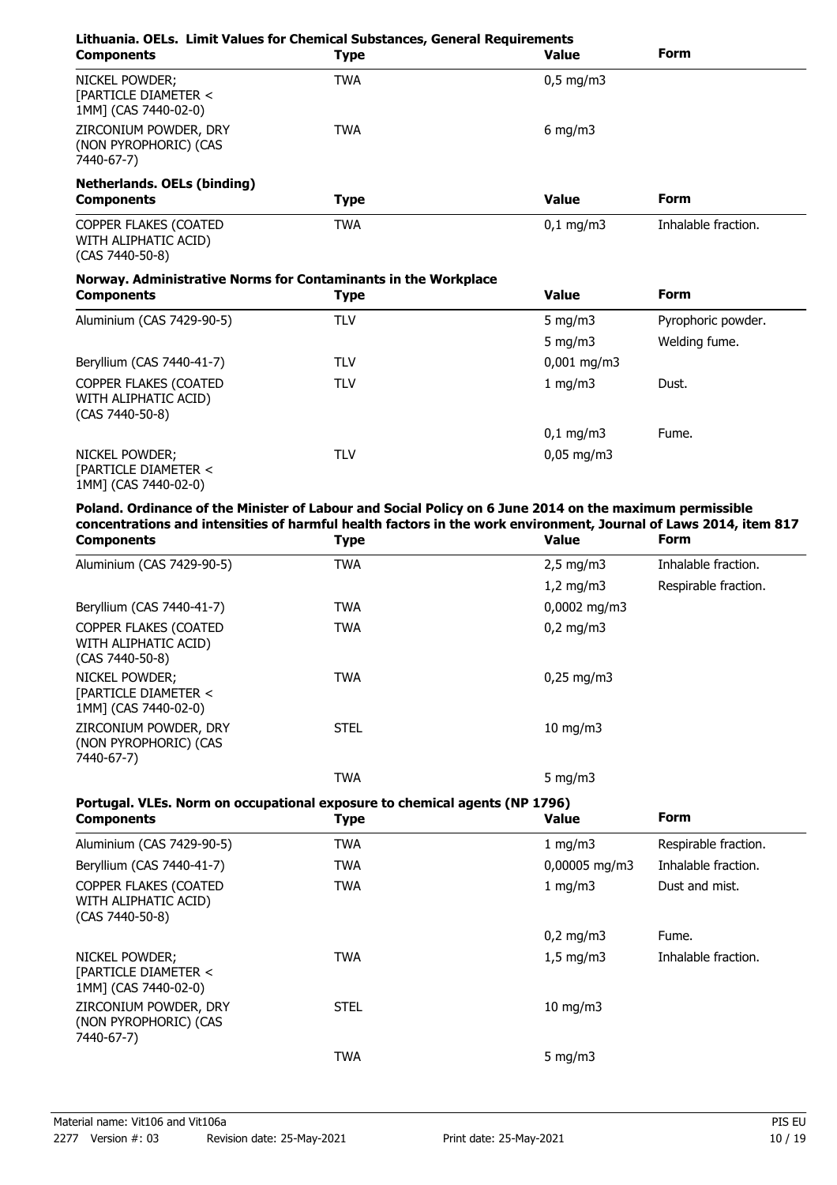| Lithuania. OELs. Limit Values for Chemical Substances, General Requirements<br><b>Components</b> | <b>Type</b> | <b>Value</b>           | <b>Form</b>         |
|--------------------------------------------------------------------------------------------------|-------------|------------------------|---------------------|
| NICKEL POWDER;<br>[PARTICLE DIAMETER <<br>1MM] (CAS 7440-02-0)                                   | <b>TWA</b>  | $0,5$ mg/m3            |                     |
| ZIRCONIUM POWDER, DRY<br>(NON PYROPHORIC) (CAS<br>7440-67-7)                                     | <b>TWA</b>  | $6 \text{ mg/m}$       |                     |
| <b>Netherlands. OELs (binding)</b>                                                               |             |                        |                     |
| <b>Components</b>                                                                                | <b>Type</b> | <b>Value</b>           | <b>Form</b>         |
| COPPER FLAKES (COATED<br>WITH ALIPHATIC ACID)<br>(CAS 7440-50-8)                                 | <b>TWA</b>  | $0,1$ mg/m3            | Inhalable fraction. |
| Norway. Administrative Norms for Contaminants in the Workplace                                   |             |                        |                     |
| <b>Components</b>                                                                                | <b>Type</b> | <b>Value</b>           | <b>Form</b>         |
| Aluminium (CAS 7429-90-5)                                                                        | <b>TLV</b>  | 5 mg/m $3$             | Pyrophoric powder.  |
|                                                                                                  |             | 5 mg/m $3$             | Welding fume.       |
| Beryllium (CAS 7440-41-7)                                                                        | <b>TLV</b>  | $0,001$ mg/m3          |                     |
| COPPER FLAKES (COATED<br>WITH ALIPHATIC ACID)<br>(CAS 7440-50-8)                                 | <b>TLV</b>  | 1 mg/m3                | Dust.               |
|                                                                                                  |             | $0,1$ mg/m3            | Fume.               |
| <b>NICKEL POWDER:</b><br>[PARTICLE DIAMETER <<br>1MM] (CAS 7440-02-0)                            | <b>TLV</b>  | $0,05 \,\mathrm{mg/m}$ |                     |

**Poland. Ordinance of the Minister of Labour and Social Policy on 6 June 2014 on the maximum permissible concentrations and intensities of harmful health factors in the work environment, Journal of Laws 2014, item 817**

| <b>Components</b>                                                  | <b>Type</b> | <b>Value</b>        | <b>Form</b>          |
|--------------------------------------------------------------------|-------------|---------------------|----------------------|
| Aluminium (CAS 7429-90-5)                                          | <b>TWA</b>  | $2,5 \text{ mg/m}$  | Inhalable fraction.  |
|                                                                    |             | $1,2$ mg/m3         | Respirable fraction. |
| Beryllium (CAS 7440-41-7)                                          | <b>TWA</b>  | $0,0002$ mg/m3      |                      |
| COPPER FLAKES (COATED<br>WITH ALIPHATIC ACID)<br>$(CAS 7440-50-8)$ | <b>TWA</b>  | $0,2$ mg/m3         |                      |
| NICKEL POWDER;<br>[PARTICLE DIAMETER <<br>1MM] (CAS 7440-02-0)     | <b>TWA</b>  | $0,25 \text{ mg/m}$ |                      |
| ZIRCONIUM POWDER, DRY<br>(NON PYROPHORIC) (CAS<br>7440-67-7)       | <b>STEL</b> | $10 \text{ mg/m}$   |                      |
|                                                                    | <b>TWA</b>  | 5 $mq/m3$           |                      |

# **Portugal. VLEs. Norm on occupational exposure to chemical agents (NP 1796)**

| <b>Components</b>                                                | <b>Type</b> | <b>Value</b>       | <b>Form</b>          |
|------------------------------------------------------------------|-------------|--------------------|----------------------|
| Aluminium (CAS 7429-90-5)                                        | <b>TWA</b>  | 1 mg/m3            | Respirable fraction. |
| Beryllium (CAS 7440-41-7)                                        | <b>TWA</b>  | $0,00005$ mg/m3    | Inhalable fraction.  |
| COPPER FLAKES (COATED<br>WITH ALIPHATIC ACID)<br>(CAS 7440-50-8) | <b>TWA</b>  | 1 $mq/m3$          | Dust and mist.       |
|                                                                  |             | $0,2$ mg/m3        | Fume.                |
| NICKEL POWDER;<br>[PARTICLE DIAMETER <<br>1MM] (CAS 7440-02-0)   | <b>TWA</b>  | $1,5 \text{ mg/m}$ | Inhalable fraction.  |
| ZIRCONIUM POWDER, DRY<br>(NON PYROPHORIC) (CAS<br>7440-67-7)     | <b>STEL</b> | $10 \text{ mg/m}$  |                      |
|                                                                  | <b>TWA</b>  | 5 mg/m $3$         |                      |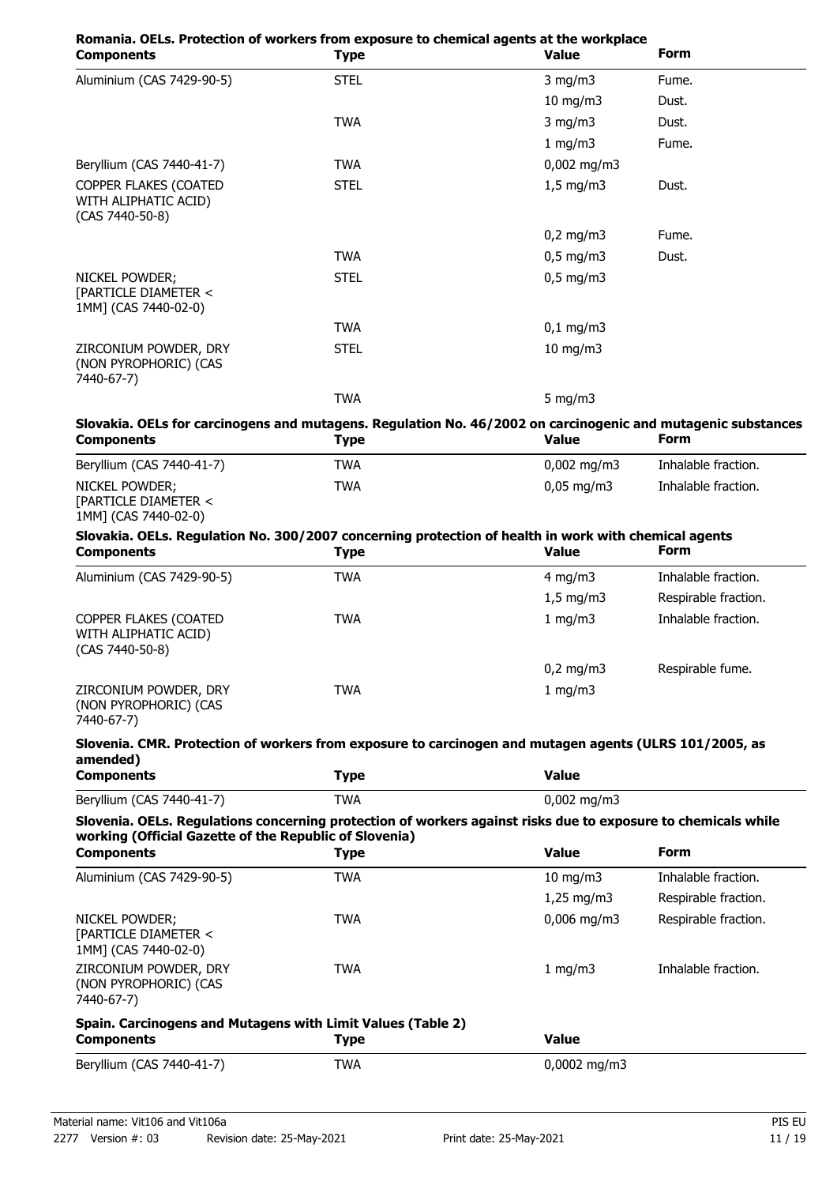| Romania. OELs. Protection of workers from exposure to chemical agents at the workplace<br><b>Components</b>                                                             | <b>Type</b> | <b>Value</b>  | <b>Form</b>          |
|-------------------------------------------------------------------------------------------------------------------------------------------------------------------------|-------------|---------------|----------------------|
| Aluminium (CAS 7429-90-5)                                                                                                                                               | <b>STEL</b> | $3$ mg/m $3$  | Fume.                |
|                                                                                                                                                                         |             | $10$ mg/m $3$ | Dust.                |
|                                                                                                                                                                         | <b>TWA</b>  | $3$ mg/m $3$  | Dust.                |
|                                                                                                                                                                         |             | 1 mg/m3       | Fume.                |
| Beryllium (CAS 7440-41-7)                                                                                                                                               | <b>TWA</b>  | $0,002$ mg/m3 |                      |
| COPPER FLAKES (COATED<br>WITH ALIPHATIC ACID)<br>(CAS 7440-50-8)                                                                                                        | <b>STEL</b> | $1,5$ mg/m3   | Dust.                |
|                                                                                                                                                                         |             | $0,2$ mg/m3   | Fume.                |
|                                                                                                                                                                         | <b>TWA</b>  | $0,5$ mg/m3   | Dust.                |
| NICKEL POWDER;<br>[PARTICLE DIAMETER <<br>1MM] (CAS 7440-02-0)                                                                                                          | <b>STEL</b> | $0,5$ mg/m3   |                      |
|                                                                                                                                                                         | <b>TWA</b>  | $0,1$ mg/m3   |                      |
| ZIRCONIUM POWDER, DRY<br>(NON PYROPHORIC) (CAS<br>7440-67-7)                                                                                                            | <b>STEL</b> | $10$ mg/m $3$ |                      |
|                                                                                                                                                                         | <b>TWA</b>  | $5$ mg/m $3$  |                      |
| Slovakia. OELs for carcinogens and mutagens. Regulation No. 46/2002 on carcinogenic and mutagenic substances<br><b>Components</b>                                       | <b>Type</b> | <b>Value</b>  | <b>Form</b>          |
| Beryllium (CAS 7440-41-7)                                                                                                                                               | <b>TWA</b>  | $0,002$ mg/m3 | Inhalable fraction.  |
| NICKEL POWDER;<br>[PARTICLE DIAMETER <<br>1MM] (CAS 7440-02-0)                                                                                                          | <b>TWA</b>  | $0,05$ mg/m3  | Inhalable fraction.  |
| Slovakia. OELs. Regulation No. 300/2007 concerning protection of health in work with chemical agents<br><b>Components</b>                                               | <b>Type</b> | <b>Value</b>  | <b>Form</b>          |
| Aluminium (CAS 7429-90-5)                                                                                                                                               | <b>TWA</b>  | 4 mg/m $3$    | Inhalable fraction.  |
|                                                                                                                                                                         |             | $1,5$ mg/m3   | Respirable fraction. |
| COPPER FLAKES (COATED<br>WITH ALIPHATIC ACID)<br>(CAS 7440-50-8)                                                                                                        | <b>TWA</b>  | 1 mg/m3       | Inhalable fraction.  |
|                                                                                                                                                                         |             | $0,2$ mg/m3   | Respirable fume.     |
| ZIRCONIUM POWDER, DRY<br>(NON PYROPHORIC) (CAS<br>7440-67-7)                                                                                                            | <b>TWA</b>  | 1 mg/m3       |                      |
| Slovenia. CMR. Protection of workers from exposure to carcinogen and mutagen agents (ULRS 101/2005, as<br>amended)<br><b>Components</b>                                 | <b>Type</b> | <b>Value</b>  |                      |
| Beryllium (CAS 7440-41-7)                                                                                                                                               | <b>TWA</b>  | $0,002$ mg/m3 |                      |
| Slovenia. OELs. Regulations concerning protection of workers against risks due to exposure to chemicals while<br>working (Official Gazette of the Republic of Slovenia) |             |               |                      |
| <b>Components</b>                                                                                                                                                       | <b>Type</b> | <b>Value</b>  | <b>Form</b>          |
| Aluminium (CAS 7429-90-5)                                                                                                                                               | <b>TWA</b>  | $10$ mg/m $3$ | Inhalable fraction.  |
|                                                                                                                                                                         |             | $1,25$ mg/m3  | Respirable fraction. |
| NICKEL POWDER;<br>[PARTICLE DIAMETER <<br>1MM] (CAS 7440-02-0)                                                                                                          | <b>TWA</b>  | $0,006$ mg/m3 | Respirable fraction. |
| ZIRCONIUM POWDER, DRY<br>(NON PYROPHORIC) (CAS<br>7440-67-7)                                                                                                            | <b>TWA</b>  | 1 mg/m3       | Inhalable fraction.  |
| Spain. Carcinogens and Mutagens with Limit Values (Table 2)<br><b>Components</b>                                                                                        | <b>Type</b> | <b>Value</b>  |                      |
| Beryllium (CAS 7440-41-7)                                                                                                                                               | <b>TWA</b>  | 0,0002 mg/m3  |                      |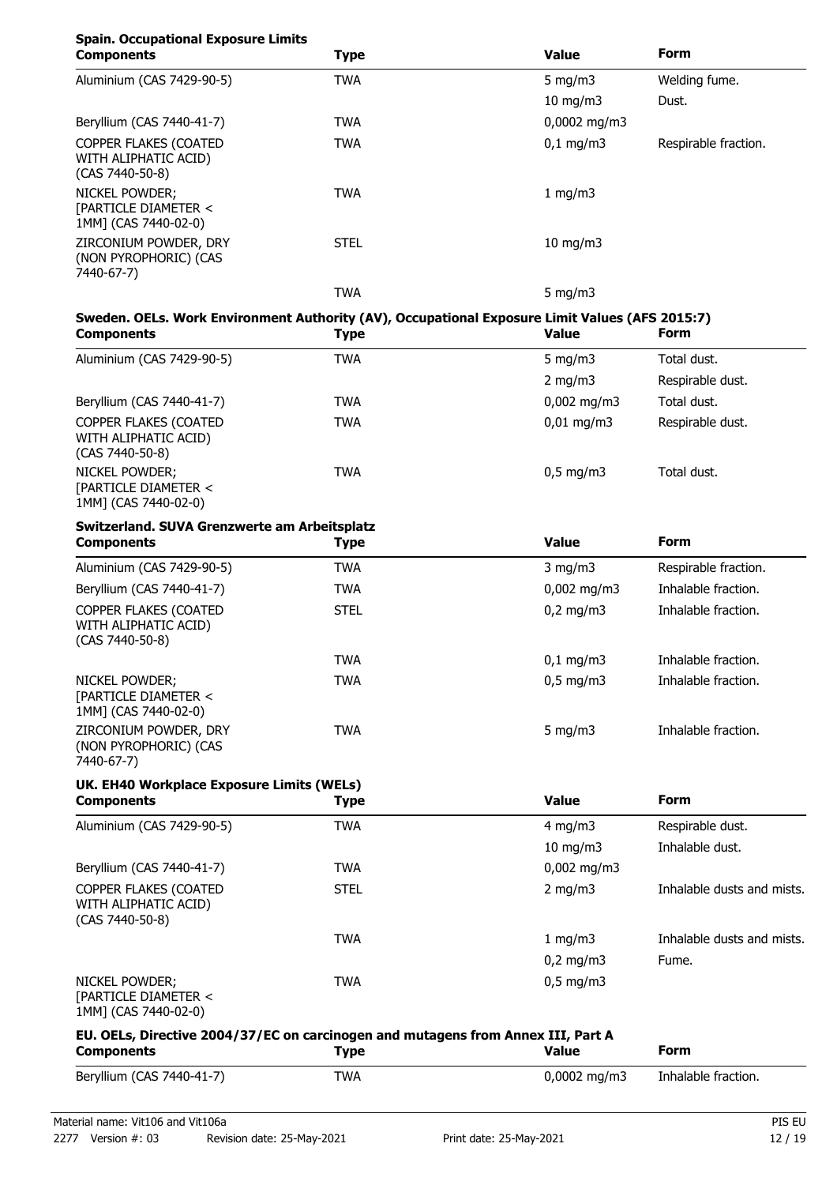# **Spain. Occupational Exposure Limits**

| <b>Components</b>                                                  | <b>Type</b> | <b>Value</b>         | <b>Form</b>          |  |
|--------------------------------------------------------------------|-------------|----------------------|----------------------|--|
| Aluminium (CAS 7429-90-5)                                          | <b>TWA</b>  | 5 $mq/m3$            | Welding fume.        |  |
|                                                                    |             | $10$ mg/m $3$        | Dust.                |  |
| Beryllium (CAS 7440-41-7)                                          | <b>TWA</b>  | 0,0002 mg/m3         |                      |  |
| COPPER FLAKES (COATED<br>WITH ALIPHATIC ACID)<br>$(CAS 7440-50-8)$ | <b>TWA</b>  | $0,1 \, \text{mg/m}$ | Respirable fraction. |  |
| NICKEL POWDER;<br>[PARTICLE DIAMETER <<br>1MM] (CAS 7440-02-0)     | <b>TWA</b>  | 1 mg/m $3$           |                      |  |
| ZIRCONIUM POWDER, DRY<br>(NON PYROPHORIC) (CAS<br>7440-67-7)       | <b>STEL</b> | $10 \text{ mg/m}$    |                      |  |
|                                                                    | TWA         | 5 $mq/m3$            |                      |  |

# **Sweden. OELs. Work Environment Authority (AV), Occupational Exposure Limit Values (AFS 2015:7)**

| <b>Components</b>                                                | <b>Type</b> | <b>Value</b>           | <b>Form</b>          |
|------------------------------------------------------------------|-------------|------------------------|----------------------|
| Aluminium (CAS 7429-90-5)                                        | <b>TWA</b>  | 5 mg/m $3$             | Total dust.          |
|                                                                  |             | 2 mg/m $3$             | Respirable dust.     |
| Beryllium (CAS 7440-41-7)                                        | <b>TWA</b>  | $0,002$ mg/m3          | Total dust.          |
| COPPER FLAKES (COATED<br>WITH ALIPHATIC ACID)<br>(CAS 7440-50-8) | <b>TWA</b>  | $0,01 \,\mathrm{mg/m}$ | Respirable dust.     |
| NICKEL POWDER;<br>[PARTICLE DIAMETER <<br>1MM] (CAS 7440-02-0)   | <b>TWA</b>  | $0,5$ mg/m3            | Total dust.          |
| Switzerland. SUVA Grenzwerte am Arbeitsplatz                     |             |                        |                      |
| <b>Components</b>                                                | <b>Type</b> | <b>Value</b>           | <b>Form</b>          |
| Aluminium (CAS 7429-90-5)                                        | <b>TWA</b>  | $3$ mg/m $3$           | Respirable fraction. |
| Beryllium (CAS 7440-41-7)                                        | <b>TWA</b>  | $0,002$ mg/m3          | Inhalable fraction.  |
| COPPER FLAKES (COATED<br>WITH ALIPHATIC ACID)<br>(CAS 7440-50-8) | <b>STEL</b> | $0,2 \text{ mg/m}$     | Inhalable fraction.  |
|                                                                  | <b>TWA</b>  | $0,1$ mg/m3            | Inhalable fraction.  |
| NICKEL POWDER;<br>[PARTICLE DIAMETER <<br>1MM] (CAS 7440-02-0)   | <b>TWA</b>  | $0,5$ mg/m3            | Inhalable fraction.  |
| ZIRCONIUM POWDER, DRY                                            | TWA         | 5 mg/m $3$             | Inhalable fraction.  |

### (NON PYROPHORIC) (CAS 7440-67-7)

# **UK. EH40 Workplace Exposure Limits (WELs)**

| <b>Components</b>                                                  | <b>Type</b> | <b>Value</b>       | <b>Form</b>                |
|--------------------------------------------------------------------|-------------|--------------------|----------------------------|
| Aluminium (CAS 7429-90-5)                                          | TWA         | 4 mg/m $3$         | Respirable dust.           |
|                                                                    |             | 10 mg/m $3$        | Inhalable dust.            |
| Beryllium (CAS 7440-41-7)                                          | TWA         | $0,002$ mg/m3      |                            |
| COPPER FLAKES (COATED<br>WITH ALIPHATIC ACID)<br>$(CAS 7440-50-8)$ | <b>STEL</b> | 2 mg/m $3$         | Inhalable dusts and mists. |
|                                                                    | <b>TWA</b>  | 1 mg/m $3$         | Inhalable dusts and mists. |
|                                                                    |             | $0,2 \text{ mg/m}$ | Fume.                      |
| NICKEL POWDER;<br>[PARTICLE DIAMETER <<br>1MM] (CAS 7440-02-0)     | <b>TWA</b>  | $0,5 \text{ mg/m}$ |                            |

# **EU. OELs, Directive 2004/37/EC on carcinogen and mutagens from Annex III, Part A Components Components Components Components Form**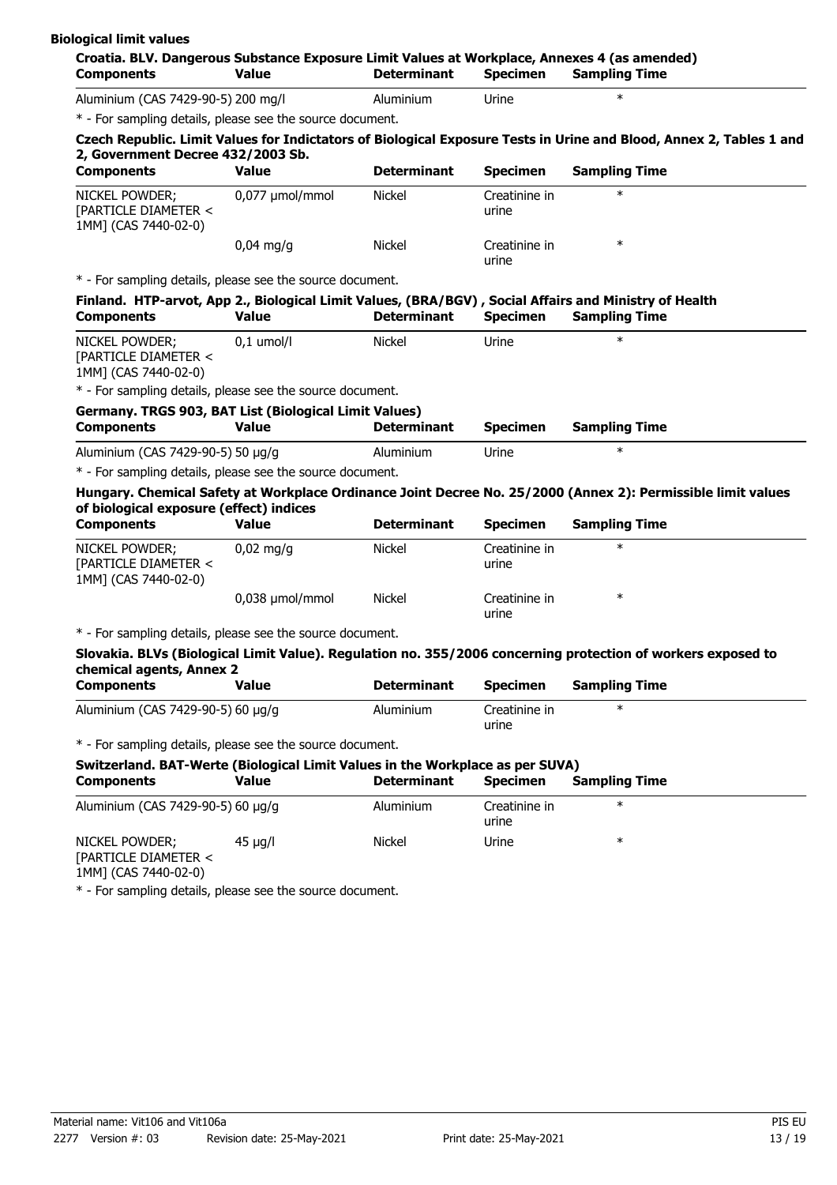| <b>Components</b>                                                                                                                                                                                         | <b>Value</b>    | <b>Determinant</b> | <b>Specimen</b>        | <b>Sampling Time</b>                                                                                                |  |
|-----------------------------------------------------------------------------------------------------------------------------------------------------------------------------------------------------------|-----------------|--------------------|------------------------|---------------------------------------------------------------------------------------------------------------------|--|
| Aluminium (CAS 7429-90-5) 200 mg/l                                                                                                                                                                        |                 | Aluminium          | Urine                  | $\ast$                                                                                                              |  |
| * - For sampling details, please see the source document.                                                                                                                                                 |                 |                    |                        |                                                                                                                     |  |
| 2, Government Decree 432/2003 Sb.                                                                                                                                                                         |                 |                    |                        | Czech Republic. Limit Values for Indictators of Biological Exposure Tests in Urine and Blood, Annex 2, Tables 1 and |  |
| <b>Components</b>                                                                                                                                                                                         | <b>Value</b>    | <b>Determinant</b> | <b>Specimen</b>        | <b>Sampling Time</b>                                                                                                |  |
| NICKEL POWDER;<br>[PARTICLE DIAMETER <<br>1MM] (CAS 7440-02-0)                                                                                                                                            | 0,077 µmol/mmol | Nickel             | Creatinine in<br>urine | $\ast$                                                                                                              |  |
|                                                                                                                                                                                                           | $0,04$ mg/g     | <b>Nickel</b>      | Creatinine in<br>urine | $\ast$                                                                                                              |  |
| * - For sampling details, please see the source document.                                                                                                                                                 |                 |                    |                        |                                                                                                                     |  |
|                                                                                                                                                                                                           |                 |                    |                        | Finland. HTP-arvot, App 2., Biological Limit Values, (BRA/BGV), Social Affairs and Ministry of Health               |  |
| <b>Components</b>                                                                                                                                                                                         | <b>Value</b>    | <b>Determinant</b> | <b>Specimen</b>        | <b>Sampling Time</b>                                                                                                |  |
| NICKEL POWDER;<br>[PARTICLE DIAMETER <<br>1MM] (CAS 7440-02-0)                                                                                                                                            | $0,1$ umol/l    | <b>Nickel</b>      | Urine                  | $\ast$                                                                                                              |  |
| * - For sampling details, please see the source document.                                                                                                                                                 |                 |                    |                        |                                                                                                                     |  |
| Germany. TRGS 903, BAT List (Biological Limit Values)                                                                                                                                                     |                 |                    |                        |                                                                                                                     |  |
|                                                                                                                                                                                                           | <b>Value</b>    | <b>Determinant</b> | <b>Specimen</b>        | <b>Sampling Time</b>                                                                                                |  |
|                                                                                                                                                                                                           |                 |                    |                        |                                                                                                                     |  |
|                                                                                                                                                                                                           |                 | Aluminium          | Urine                  | $\ast$                                                                                                              |  |
| <b>Components</b><br>Aluminium (CAS 7429-90-5) 50 µg/g<br>* - For sampling details, please see the source document.                                                                                       |                 |                    |                        |                                                                                                                     |  |
|                                                                                                                                                                                                           |                 |                    |                        |                                                                                                                     |  |
|                                                                                                                                                                                                           |                 |                    |                        | Hungary. Chemical Safety at Workplace Ordinance Joint Decree No. 25/2000 (Annex 2): Permissible limit values        |  |
|                                                                                                                                                                                                           | <b>Value</b>    | <b>Determinant</b> | <b>Specimen</b>        | <b>Sampling Time</b>                                                                                                |  |
|                                                                                                                                                                                                           | $0,02$ mg/g     | Nickel             | Creatinine in<br>urine | $\ast$                                                                                                              |  |
| of biological exposure (effect) indices<br><b>Components</b><br>NICKEL POWDER;<br>[PARTICLE DIAMETER <<br>1MM] (CAS 7440-02-0)                                                                            | 0,038 µmol/mmol | <b>Nickel</b>      | Creatinine in<br>urine | $\ast$                                                                                                              |  |
|                                                                                                                                                                                                           |                 |                    |                        |                                                                                                                     |  |
|                                                                                                                                                                                                           |                 |                    |                        | Slovakia. BLVs (Biological Limit Value). Regulation no. 355/2006 concerning protection of workers exposed to        |  |
|                                                                                                                                                                                                           |                 |                    |                        |                                                                                                                     |  |
|                                                                                                                                                                                                           | Value           | <b>Determinant</b> | <b>Specimen</b>        | <b>Sampling Time</b>                                                                                                |  |
| * - For sampling details, please see the source document.<br>chemical agents, Annex 2<br><b>Components</b><br>Aluminium (CAS 7429-90-5) 60 µg/g                                                           |                 | Aluminium          | Creatinine in<br>urine | $\ast$                                                                                                              |  |
| * - For sampling details, please see the source document.                                                                                                                                                 |                 |                    |                        |                                                                                                                     |  |
|                                                                                                                                                                                                           |                 |                    |                        |                                                                                                                     |  |
|                                                                                                                                                                                                           | <b>Value</b>    | <b>Determinant</b> | <b>Specimen</b>        | <b>Sampling Time</b>                                                                                                |  |
|                                                                                                                                                                                                           |                 | Aluminium          | Creatinine in<br>urine | $\ast$                                                                                                              |  |
| Switzerland. BAT-Werte (Biological Limit Values in the Workplace as per SUVA)<br><b>Components</b><br>Aluminium (CAS 7429-90-5) 60 µg/g<br>NICKEL POWDER;<br>[PARTICLE DIAMETER <<br>1MM] (CAS 7440-02-0) | $45 \mu g/l$    | Nickel             | Urine                  | $\ast$                                                                                                              |  |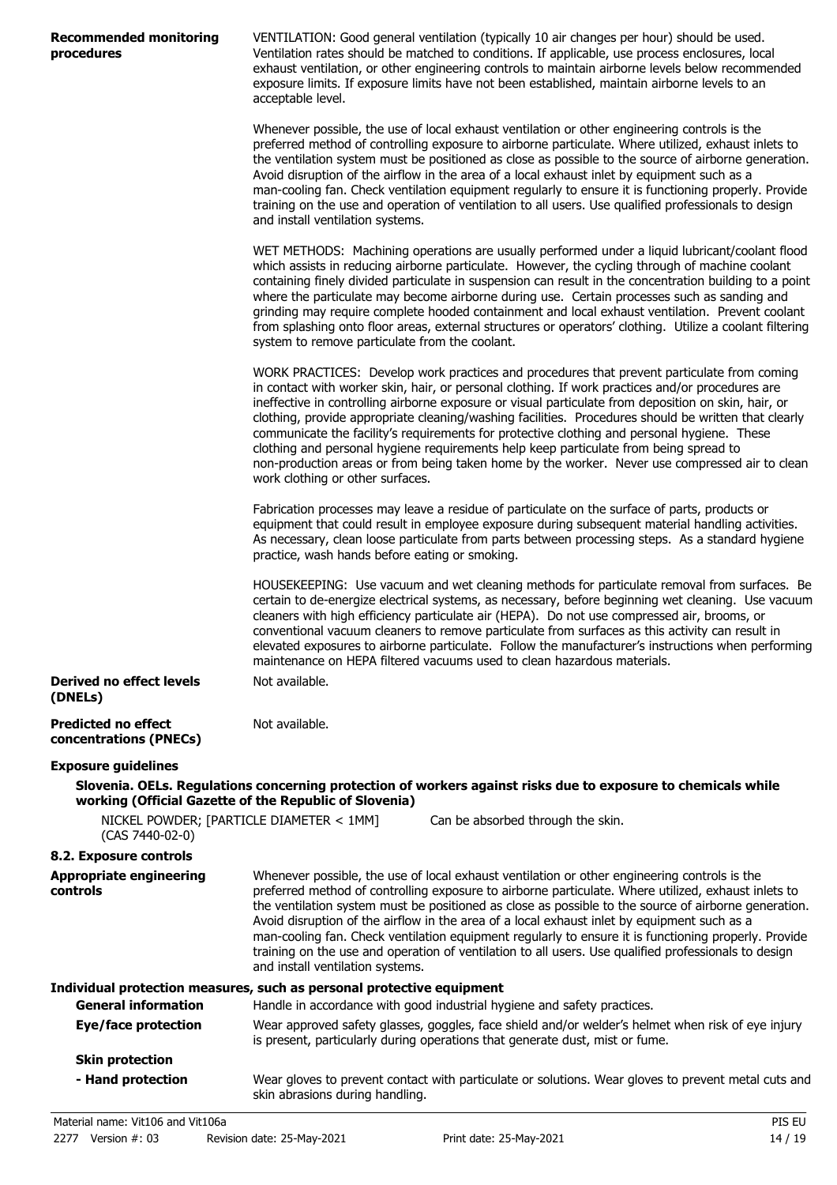| <b>Recommended monitoring</b><br>procedures                                          | VENTILATION: Good general ventilation (typically 10 air changes per hour) should be used.<br>Ventilation rates should be matched to conditions. If applicable, use process enclosures, local<br>exhaust ventilation, or other engineering controls to maintain airborne levels below recommended<br>exposure limits. If exposure limits have not been established, maintain airborne levels to an<br>acceptable level.                                                                                                                                                                                                                                                                                                                       |
|--------------------------------------------------------------------------------------|----------------------------------------------------------------------------------------------------------------------------------------------------------------------------------------------------------------------------------------------------------------------------------------------------------------------------------------------------------------------------------------------------------------------------------------------------------------------------------------------------------------------------------------------------------------------------------------------------------------------------------------------------------------------------------------------------------------------------------------------|
|                                                                                      | Whenever possible, the use of local exhaust ventilation or other engineering controls is the<br>preferred method of controlling exposure to airborne particulate. Where utilized, exhaust inlets to<br>the ventilation system must be positioned as close as possible to the source of airborne generation.<br>Avoid disruption of the airflow in the area of a local exhaust inlet by equipment such as a<br>man-cooling fan. Check ventilation equipment regularly to ensure it is functioning properly. Provide<br>training on the use and operation of ventilation to all users. Use qualified professionals to design<br>and install ventilation systems.                                                                               |
|                                                                                      | WET METHODS: Machining operations are usually performed under a liquid lubricant/coolant flood<br>which assists in reducing airborne particulate. However, the cycling through of machine coolant<br>containing finely divided particulate in suspension can result in the concentration building to a point<br>where the particulate may become airborne during use. Certain processes such as sanding and<br>grinding may require complete hooded containment and local exhaust ventilation. Prevent coolant<br>from splashing onto floor areas, external structures or operators' clothing. Utilize a coolant filtering<br>system to remove particulate from the coolant.                                                                 |
|                                                                                      | WORK PRACTICES: Develop work practices and procedures that prevent particulate from coming<br>in contact with worker skin, hair, or personal clothing. If work practices and/or procedures are<br>ineffective in controlling airborne exposure or visual particulate from deposition on skin, hair, or<br>clothing, provide appropriate cleaning/washing facilities. Procedures should be written that clearly<br>communicate the facility's requirements for protective clothing and personal hygiene. These<br>clothing and personal hygiene requirements help keep particulate from being spread to<br>non-production areas or from being taken home by the worker. Never use compressed air to clean<br>work clothing or other surfaces. |
|                                                                                      | Fabrication processes may leave a residue of particulate on the surface of parts, products or<br>equipment that could result in employee exposure during subsequent material handling activities.<br>As necessary, clean loose particulate from parts between processing steps. As a standard hygiene<br>practice, wash hands before eating or smoking.                                                                                                                                                                                                                                                                                                                                                                                      |
|                                                                                      | HOUSEKEEPING: Use vacuum and wet cleaning methods for particulate removal from surfaces. Be<br>certain to de-energize electrical systems, as necessary, before beginning wet cleaning. Use vacuum<br>cleaners with high efficiency particulate air (HEPA). Do not use compressed air, brooms, or<br>conventional vacuum cleaners to remove particulate from surfaces as this activity can result in<br>elevated exposures to airborne particulate. Follow the manufacturer's instructions when performing<br>maintenance on HEPA filtered vacuums used to clean hazardous materials.                                                                                                                                                         |
| <b>Derived no effect levels</b><br>(DNELs)                                           | Not available.                                                                                                                                                                                                                                                                                                                                                                                                                                                                                                                                                                                                                                                                                                                               |
| <b>Predicted no effect</b><br>concentrations (PNECs)                                 | Not available.                                                                                                                                                                                                                                                                                                                                                                                                                                                                                                                                                                                                                                                                                                                               |
| <b>Exposure guidelines</b><br>working (Official Gazette of the Republic of Slovenia) | Slovenia. OELs. Regulations concerning protection of workers against risks due to exposure to chemicals while                                                                                                                                                                                                                                                                                                                                                                                                                                                                                                                                                                                                                                |
| NICKEL POWDER; [PARTICLE DIAMETER < 1MM]<br>(CAS 7440-02-0)                          | Can be absorbed through the skin.                                                                                                                                                                                                                                                                                                                                                                                                                                                                                                                                                                                                                                                                                                            |
| 8.2. Exposure controls                                                               |                                                                                                                                                                                                                                                                                                                                                                                                                                                                                                                                                                                                                                                                                                                                              |
| <b>Appropriate engineering</b><br>controls                                           | Whenever possible, the use of local exhaust ventilation or other engineering controls is the<br>preferred method of controlling exposure to airborne particulate. Where utilized, exhaust inlets to<br>the ventilation system must be positioned as close as possible to the source of airborne generation.<br>Avoid disruption of the airflow in the area of a local exhaust inlet by equipment such as a<br>man-cooling fan. Check ventilation equipment regularly to ensure it is functioning properly. Provide<br>training on the use and operation of ventilation to all users. Use qualified professionals to design<br>and install ventilation systems.                                                                               |
|                                                                                      | Individual protection measures, such as personal protective equipment                                                                                                                                                                                                                                                                                                                                                                                                                                                                                                                                                                                                                                                                        |
| <b>General information</b>                                                           | Handle in accordance with good industrial hygiene and safety practices.                                                                                                                                                                                                                                                                                                                                                                                                                                                                                                                                                                                                                                                                      |
| <b>Eye/face protection</b>                                                           | Wear approved safety glasses, goggles, face shield and/or welder's helmet when risk of eye injury<br>is present, particularly during operations that generate dust, mist or fume.                                                                                                                                                                                                                                                                                                                                                                                                                                                                                                                                                            |
| <b>Skin protection</b>                                                               |                                                                                                                                                                                                                                                                                                                                                                                                                                                                                                                                                                                                                                                                                                                                              |
| - Hand protection                                                                    | Wear gloves to prevent contact with particulate or solutions. Wear gloves to prevent metal cuts and<br>skin abrasions during handling.                                                                                                                                                                                                                                                                                                                                                                                                                                                                                                                                                                                                       |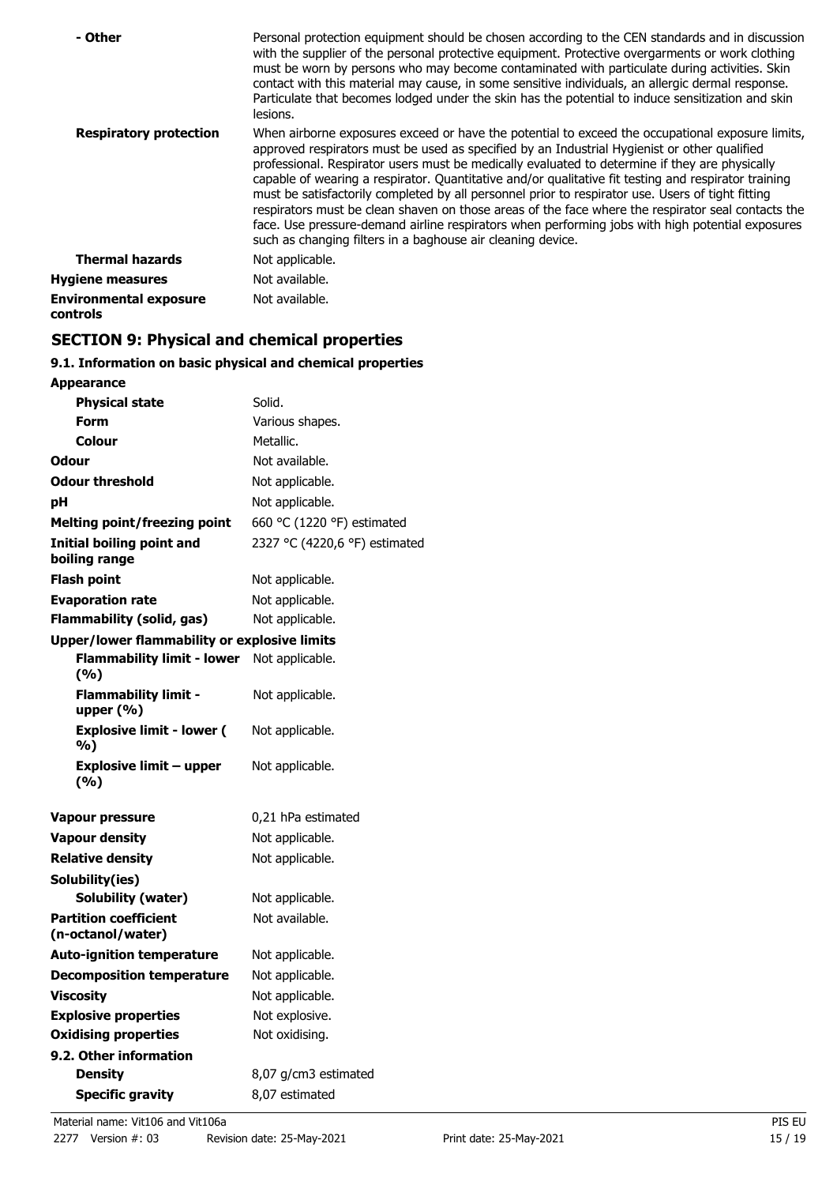| - Other                                   | Personal protection equipment should be chosen according to the CEN standards and in discussion<br>with the supplier of the personal protective equipment. Protective overgarments or work clothing<br>must be worn by persons who may become contaminated with particulate during activities. Skin<br>contact with this material may cause, in some sensitive individuals, an allergic dermal response.<br>Particulate that becomes lodged under the skin has the potential to induce sensitization and skin<br>lesions.                                                                                                                                                                                                                                                                |
|-------------------------------------------|------------------------------------------------------------------------------------------------------------------------------------------------------------------------------------------------------------------------------------------------------------------------------------------------------------------------------------------------------------------------------------------------------------------------------------------------------------------------------------------------------------------------------------------------------------------------------------------------------------------------------------------------------------------------------------------------------------------------------------------------------------------------------------------|
| <b>Respiratory protection</b>             | When airborne exposures exceed or have the potential to exceed the occupational exposure limits,<br>approved respirators must be used as specified by an Industrial Hygienist or other qualified<br>professional. Respirator users must be medically evaluated to determine if they are physically<br>capable of wearing a respirator. Quantitative and/or qualitative fit testing and respirator training<br>must be satisfactorily completed by all personnel prior to respirator use. Users of tight fitting<br>respirators must be clean shaven on those areas of the face where the respirator seal contacts the<br>face. Use pressure-demand airline respirators when performing jobs with high potential exposures<br>such as changing filters in a baghouse air cleaning device. |
| <b>Thermal hazards</b>                    | Not applicable.                                                                                                                                                                                                                                                                                                                                                                                                                                                                                                                                                                                                                                                                                                                                                                          |
| <b>Hygiene measures</b>                   | Not available.                                                                                                                                                                                                                                                                                                                                                                                                                                                                                                                                                                                                                                                                                                                                                                           |
| <b>Environmental exposure</b><br>controls | Not available.                                                                                                                                                                                                                                                                                                                                                                                                                                                                                                                                                                                                                                                                                                                                                                           |

# **SECTION 9: Physical and chemical properties**

# **9.1. Information on basic physical and chemical properties**

| <b>Appearance</b>                                   |                               |  |  |
|-----------------------------------------------------|-------------------------------|--|--|
| <b>Physical state</b>                               | Solid.                        |  |  |
| <b>Form</b>                                         | Various shapes.               |  |  |
| Colour                                              | Metallic.                     |  |  |
| <b>Odour</b>                                        | Not available.                |  |  |
| <b>Odour threshold</b>                              | Not applicable.               |  |  |
| рH                                                  | Not applicable.               |  |  |
| <b>Melting point/freezing point</b>                 | 660 °C (1220 °F) estimated    |  |  |
| <b>Initial boiling point and</b><br>boiling range   | 2327 °C (4220,6 °F) estimated |  |  |
| <b>Flash point</b>                                  | Not applicable.               |  |  |
| <b>Evaporation rate</b>                             | Not applicable.               |  |  |
| <b>Flammability (solid, gas)</b>                    | Not applicable.               |  |  |
| <b>Upper/lower flammability or explosive limits</b> |                               |  |  |
| <b>Flammability limit - lower</b><br>(%)            | Not applicable.               |  |  |
| <b>Flammability limit -</b><br>upper $(% )$         | Not applicable.               |  |  |
| <b>Explosive limit - lower (</b><br>%)              | Not applicable.               |  |  |
| <b>Explosive limit - upper</b><br>(%)               | Not applicable.               |  |  |
| Vapour pressure                                     | 0,21 hPa estimated            |  |  |
| <b>Vapour density</b>                               | Not applicable.               |  |  |
| <b>Relative density</b>                             | Not applicable.               |  |  |
| Solubility(ies)                                     |                               |  |  |
| Solubility (water)                                  | Not applicable.               |  |  |
| <b>Partition coefficient</b><br>(n-octanol/water)   | Not available.                |  |  |
| <b>Auto-ignition temperature</b>                    | Not applicable.               |  |  |
| <b>Decomposition temperature</b>                    | Not applicable.               |  |  |
| <b>Viscosity</b>                                    | Not applicable.               |  |  |
| <b>Explosive properties</b>                         | Not explosive.                |  |  |
| <b>Oxidising properties</b>                         | Not oxidising.                |  |  |
| 9.2. Other information                              |                               |  |  |
| <b>Density</b>                                      | 8,07 g/cm3 estimated          |  |  |
| <b>Specific gravity</b>                             | 8,07 estimated                |  |  |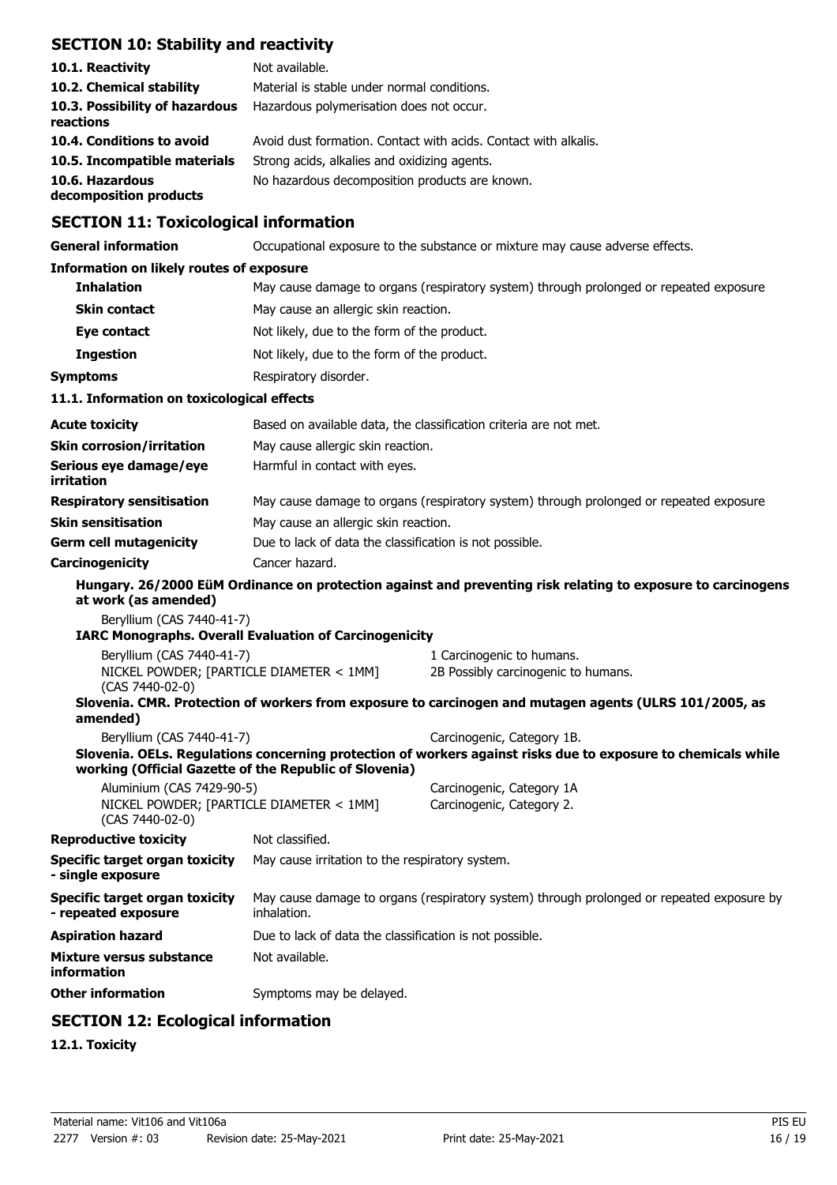# **SECTION 10: Stability and reactivity**

| 10.1. Reactivity                            | Not available.                                                  |
|---------------------------------------------|-----------------------------------------------------------------|
| 10.2. Chemical stability                    | Material is stable under normal conditions.                     |
| 10.3. Possibility of hazardous<br>reactions | Hazardous polymerisation does not occur.                        |
| 10.4. Conditions to avoid                   | Avoid dust formation. Contact with acids. Contact with alkalis. |
| 10.5. Incompatible materials                | Strong acids, alkalies and oxidizing agents.                    |
| 10.6. Hazardous<br>decomposition products   | No hazardous decomposition products are known.                  |

# **SECTION 11: Toxicological information**

**General information C**CCUPATION OCCUPATION EXPOSURE to the substance or mixture may cause adverse effects.

## **Information on likely routes of exposure**

| <b>Inhalation</b>                          | May cause damage to organs (respiratory system) through prolonged or repeated exposure. |  |  |
|--------------------------------------------|-----------------------------------------------------------------------------------------|--|--|
| <b>Skin contact</b>                        | May cause an allergic skin reaction.                                                    |  |  |
| Eye contact                                | Not likely, due to the form of the product.                                             |  |  |
| <b>Ingestion</b>                           | Not likely, due to the form of the product.                                             |  |  |
| <b>Symptoms</b>                            | Respiratory disorder.                                                                   |  |  |
| 11.1. Information on toxicological effects |                                                                                         |  |  |
| <b>Acute toxicity</b>                      | Based on available data, the classification criteria are not met.                       |  |  |
| <b>Skin corrosion/irritation</b>           | May cause allergic skin reaction.                                                       |  |  |
| Serious eye damage/eye<br>irritation       | Harmful in contact with eyes.                                                           |  |  |
| <b>Respiratory sensitisation</b>           | May cause damage to organs (respiratory system) through prolonged or repeated exposure. |  |  |
| <b>Skin sensitisation</b>                  | May cause an allergic skin reaction.                                                    |  |  |

**Germ cell mutagenicity** Due to lack of data the classification is not possible.

**Carcinogenicity** Cancer hazard.

# **Hungary. 26/2000 EüM Ordinance on protection against and preventing risk relating to exposure to carcinogens at work (as amended)**

Beryllium (CAS 7440-41-7)

**IARC Monographs. Overall Evaluation of Carcinogenicity**

| amended)                                 |                                                                                                        |
|------------------------------------------|--------------------------------------------------------------------------------------------------------|
|                                          | Slovenia. CMR. Protection of workers from exposure to carcinogen and mutagen agents (ULRS 101/2005, as |
| $(CAS 7440-02-0)$                        |                                                                                                        |
| NICKEL POWDER: [PARTICLE DIAMETER < 1MM] | 2B Possibly carcinogenic to humans.                                                                    |
| Beryllium (CAS 7440-41-7)                | 1 Carcinogenic to humans.                                                                              |
|                                          |                                                                                                        |

| Beryllium (CAS 7440-41-7)                                   | Carcinogenic, Category 1B.                                                                                    |
|-------------------------------------------------------------|---------------------------------------------------------------------------------------------------------------|
| working (Official Gazette of the Republic of Slovenia)      | Slovenia. OELs. Regulations concerning protection of workers against risks due to exposure to chemicals while |
| Aluminium (CAS 7429-90-5)                                   | Carcinogenic, Category 1A                                                                                     |
| NICKEL POWDER; [PARTICLE DIAMETER < 1MM]<br>(CAS 7440-02-0) | Carcinogenic, Category 2.                                                                                     |

| <b>Reproductive toxicity</b>                               | Not classified.                                                                                          |
|------------------------------------------------------------|----------------------------------------------------------------------------------------------------------|
| <b>Specific target organ toxicity</b><br>- single exposure | May cause irritation to the respiratory system.                                                          |
| Specific target organ toxicity<br>- repeated exposure      | May cause damage to organs (respiratory system) through prolonged or repeated exposure by<br>inhalation. |
| Aspiration hazard                                          | Due to lack of data the classification is not possible.                                                  |
| <b>Mixture versus substance</b>                            | Not available.                                                                                           |

# **SECTION 12: Ecological information**

**Other information** Symptoms may be delayed.

# **12.1. Toxicity**

**information**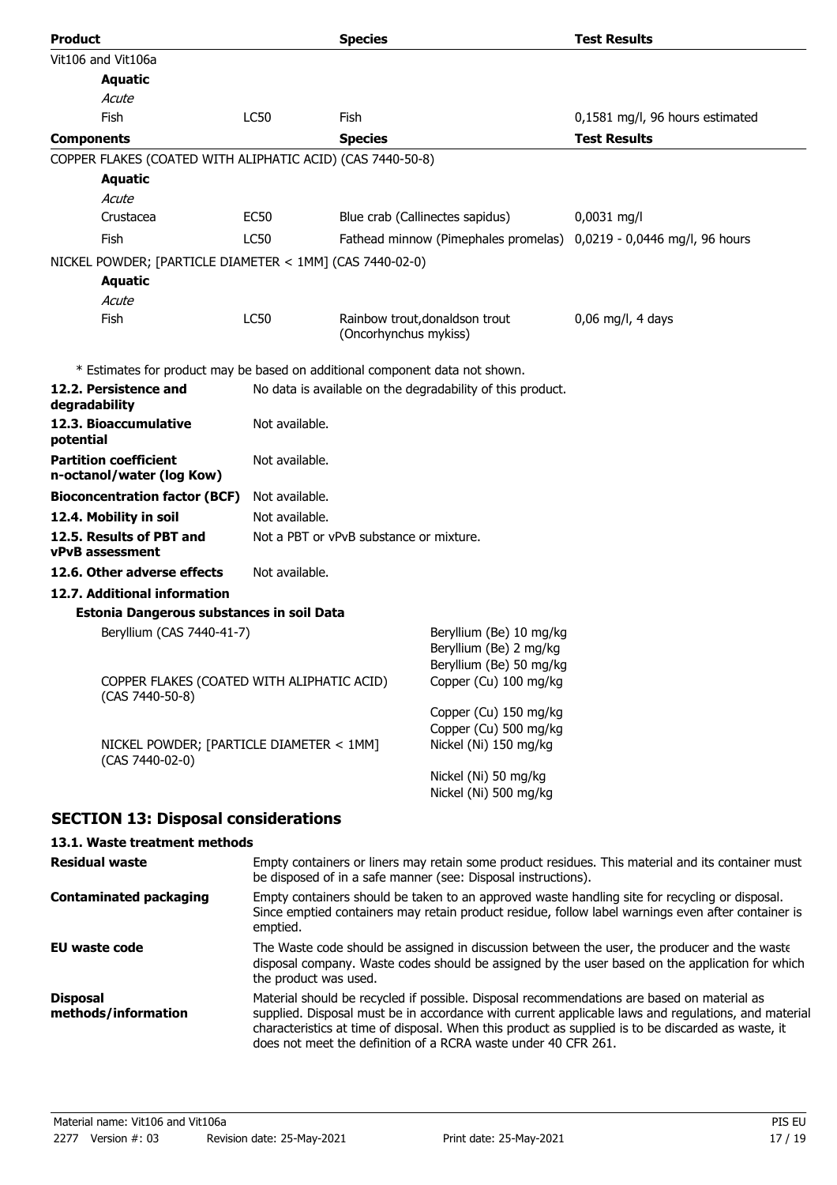| <b>Product</b>                                                               |                | <b>Species</b>                          |                                                                              | <b>Test Results</b>                                                 |
|------------------------------------------------------------------------------|----------------|-----------------------------------------|------------------------------------------------------------------------------|---------------------------------------------------------------------|
| Vit106 and Vit106a                                                           |                |                                         |                                                                              |                                                                     |
| <b>Aquatic</b>                                                               |                |                                         |                                                                              |                                                                     |
| Acute                                                                        |                |                                         |                                                                              |                                                                     |
| Fish                                                                         | <b>LC50</b>    | Fish                                    |                                                                              | 0,1581 mg/l, 96 hours estimated                                     |
| <b>Components</b>                                                            |                | <b>Species</b>                          |                                                                              | <b>Test Results</b>                                                 |
| COPPER FLAKES (COATED WITH ALIPHATIC ACID) (CAS 7440-50-8)                   |                |                                         |                                                                              |                                                                     |
| <b>Aquatic</b>                                                               |                |                                         |                                                                              |                                                                     |
| Acute                                                                        |                |                                         |                                                                              |                                                                     |
| Crustacea                                                                    | <b>EC50</b>    |                                         | Blue crab (Callinectes sapidus)                                              | $0,0031$ mg/l                                                       |
| Fish                                                                         | <b>LC50</b>    |                                         |                                                                              | Fathead minnow (Pimephales promelas) 0,0219 - 0,0446 mg/l, 96 hours |
| NICKEL POWDER; [PARTICLE DIAMETER < 1MM] (CAS 7440-02-0)                     |                |                                         |                                                                              |                                                                     |
| <b>Aquatic</b>                                                               |                |                                         |                                                                              |                                                                     |
| Acute                                                                        |                |                                         |                                                                              |                                                                     |
| Fish                                                                         | LC50           |                                         | Rainbow trout, donaldson trout                                               | $0.06$ mg/l, 4 days                                                 |
|                                                                              |                | (Oncorhynchus mykiss)                   |                                                                              |                                                                     |
| * Estimates for product may be based on additional component data not shown. |                |                                         |                                                                              |                                                                     |
| 12.2. Persistence and                                                        |                |                                         | No data is available on the degradability of this product.                   |                                                                     |
| degradability                                                                |                |                                         |                                                                              |                                                                     |
| 12.3. Bioaccumulative<br>potential                                           | Not available. |                                         |                                                                              |                                                                     |
| <b>Partition coefficient</b><br>n-octanol/water (log Kow)                    | Not available. |                                         |                                                                              |                                                                     |
| <b>Bioconcentration factor (BCF)</b>                                         | Not available. |                                         |                                                                              |                                                                     |
| 12.4. Mobility in soil                                                       | Not available. |                                         |                                                                              |                                                                     |
| 12.5. Results of PBT and<br><b>vPvB</b> assessment                           |                | Not a PBT or yPvB substance or mixture. |                                                                              |                                                                     |
| 12.6. Other adverse effects                                                  | Not available. |                                         |                                                                              |                                                                     |
| 12.7. Additional information                                                 |                |                                         |                                                                              |                                                                     |
| Estonia Dangerous substances in soil Data                                    |                |                                         |                                                                              |                                                                     |
| Beryllium (CAS 7440-41-7)                                                    |                |                                         | Beryllium (Be) 10 mg/kg<br>Beryllium (Be) 2 mg/kg<br>Beryllium (Be) 50 mg/kg |                                                                     |
| COPPER FLAKES (COATED WITH ALIPHATIC ACID)<br>(CAS 7440-50-8)                |                |                                         | Copper (Cu) 100 mg/kg                                                        |                                                                     |
|                                                                              |                |                                         | Copper (Cu) 150 mg/kg<br>Copper (Cu) 500 mg/kg                               |                                                                     |
| NICKEL POWDER; [PARTICLE DIAMETER < 1MM]<br>(CAS 7440-02-0)                  |                |                                         | Nickel (Ni) 150 mg/kg                                                        |                                                                     |
|                                                                              |                |                                         | Nickel (Ni) 50 mg/kg<br>Nickel (Ni) 500 mg/kg                                |                                                                     |
| <b>SECTION 13: Disposal considerations</b>                                   |                |                                         |                                                                              |                                                                     |
|                                                                              |                |                                         |                                                                              |                                                                     |

# **13.1. Waste treatment methods**

| <b>Residual waste</b>                  | Empty containers or liners may retain some product residues. This material and its container must<br>be disposed of in a safe manner (see: Disposal instructions).                                                                                                                                                                                                        |
|----------------------------------------|---------------------------------------------------------------------------------------------------------------------------------------------------------------------------------------------------------------------------------------------------------------------------------------------------------------------------------------------------------------------------|
| <b>Contaminated packaging</b>          | Empty containers should be taken to an approved waste handling site for recycling or disposal.<br>Since emptied containers may retain product residue, follow label warnings even after container is<br>emptied.                                                                                                                                                          |
| EU waste code                          | The Waste code should be assigned in discussion between the user, the producer and the waste<br>disposal company. Waste codes should be assigned by the user based on the application for which<br>the product was used.                                                                                                                                                  |
| <b>Disposal</b><br>methods/information | Material should be recycled if possible. Disposal recommendations are based on material as<br>supplied. Disposal must be in accordance with current applicable laws and regulations, and material<br>characteristics at time of disposal. When this product as supplied is to be discarded as waste, it<br>does not meet the definition of a RCRA waste under 40 CFR 261. |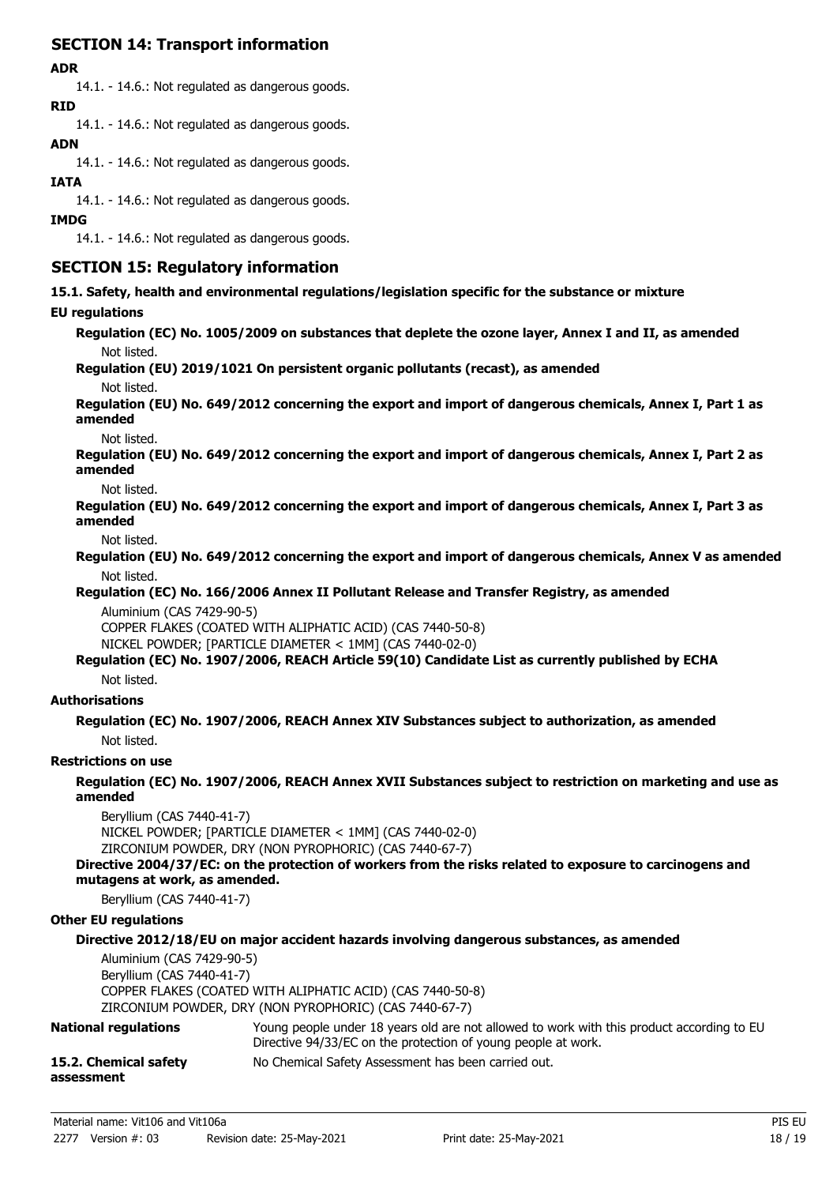# **SECTION 14: Transport information**

# **ADR**

14.1. - 14.6.: Not regulated as dangerous goods. **RID**

14.1. - 14.6.: Not regulated as dangerous goods.

# **ADN**

14.1. - 14.6.: Not regulated as dangerous goods.

# **IATA**

14.1. - 14.6.: Not regulated as dangerous goods.

# **IMDG**

14.1. - 14.6.: Not regulated as dangerous goods.

# **SECTION 15: Regulatory information**

**15.1. Safety, health and environmental regulations/legislation specific for the substance or mixture**

# **EU regulations**

**Regulation (EC) No. 1005/2009 on substances that deplete the ozone layer, Annex I and II, as amended** Not listed.

**Regulation (EU) 2019/1021 On persistent organic pollutants (recast), as amended**

Not listed.

**Regulation (EU) No. 649/2012 concerning the export and import of dangerous chemicals, Annex I, Part 1 as amended**

## Not listed.

**Regulation (EU) No. 649/2012 concerning the export and import of dangerous chemicals, Annex I, Part 2 as amended**

Not listed.

**Regulation (EU) No. 649/2012 concerning the export and import of dangerous chemicals, Annex I, Part 3 as amended**

Not listed.

**Regulation (EU) No. 649/2012 concerning the export and import of dangerous chemicals, Annex V as amended** Not listed.

**Regulation (EC) No. 166/2006 Annex II Pollutant Release and Transfer Registry, as amended** Aluminium (CAS 7429-90-5)

COPPER FLAKES (COATED WITH ALIPHATIC ACID) (CAS 7440-50-8)

NICKEL POWDER; [PARTICLE DIAMETER < 1MM] (CAS 7440-02-0)

## **Regulation (EC) No. 1907/2006, REACH Article 59(10) Candidate List as currently published by ECHA** Not listed.

# **Authorisations**

**Regulation (EC) No. 1907/2006, REACH Annex XIV Substances subject to authorization, as amended** Not listed.

# **Restrictions on use**

**Regulation (EC) No. 1907/2006, REACH Annex XVII Substances subject to restriction on marketing and use as amended**

Beryllium (CAS 7440-41-7) NICKEL POWDER; [PARTICLE DIAMETER < 1MM] (CAS 7440-02-0) ZIRCONIUM POWDER, DRY (NON PYROPHORIC) (CAS 7440-67-7)

# **Directive 2004/37/EC: on the protection of workers from the risks related to exposure to carcinogens and mutagens at work, as amended.**

Beryllium (CAS 7440-41-7)

# **Other EU regulations**

**Directive 2012/18/EU on major accident hazards involving dangerous substances, as amended**

Aluminium (CAS 7429-90-5) Beryllium (CAS 7440-41-7) COPPER FLAKES (COATED WITH ALIPHATIC ACID) (CAS 7440-50-8) ZIRCONIUM POWDER, DRY (NON PYROPHORIC) (CAS 7440-67-7)

#### Young people under 18 years old are not allowed to work with this product according to EU Directive 94/33/EC on the protection of young people at work. **National regulations 15.2. Chemical safety** No Chemical Safety Assessment has been carried out. **assessment**